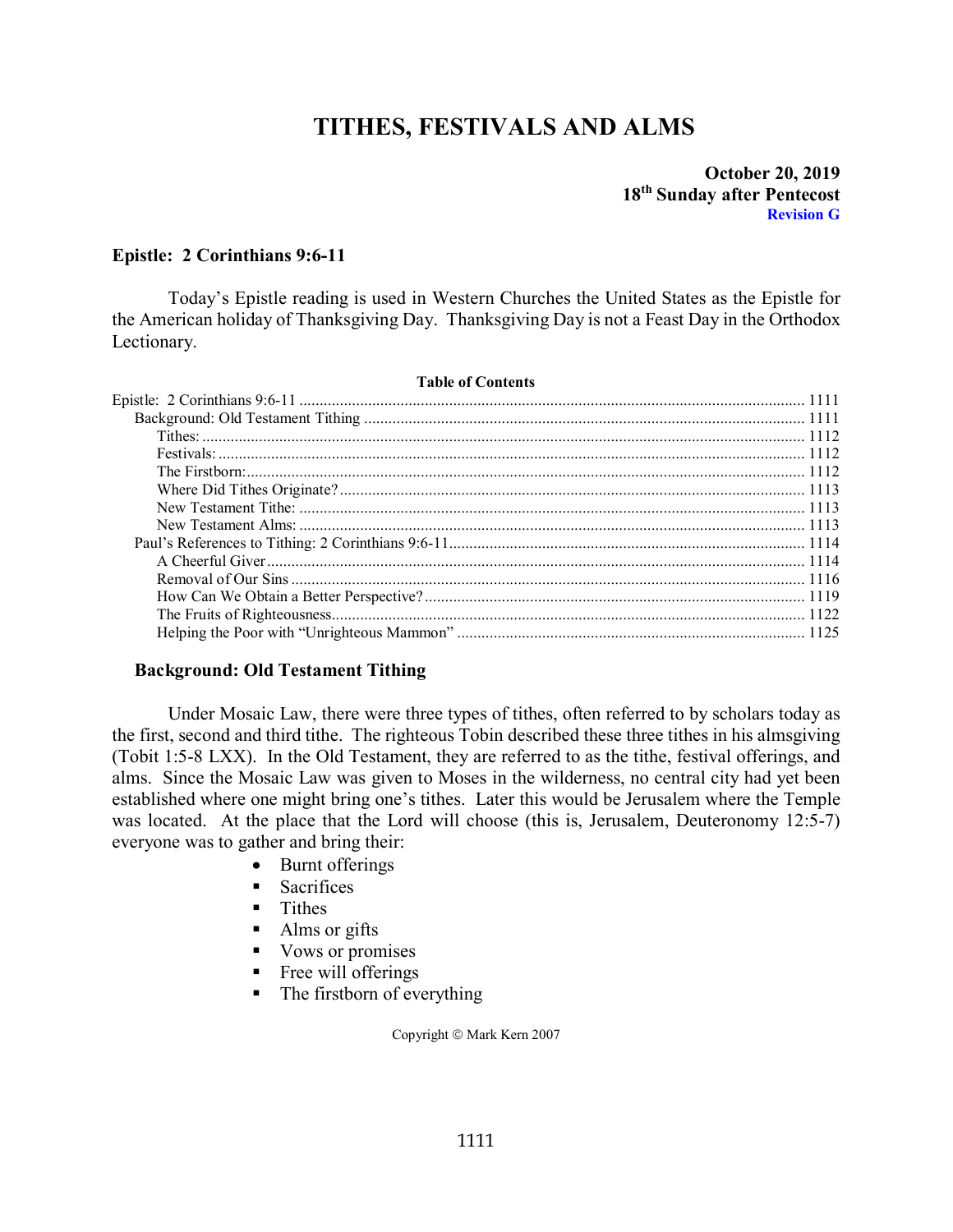# **TITHES, FESTIVALS AND ALMS**

**October 20, 2019 18th Sunday after Pentecost Revision G**

## <span id="page-0-0"></span>**Epistle: 2 Corinthians 9:6-11**

Today's Epistle reading is used in Western Churches the United States as the Epistle for the American holiday of Thanksgiving Day. Thanksgiving Day is not a Feast Day in the Orthodox Lectionary.

| <b>Table of Contents</b> |  |
|--------------------------|--|
|                          |  |
|                          |  |
|                          |  |
|                          |  |
|                          |  |
|                          |  |
|                          |  |
|                          |  |
|                          |  |
|                          |  |
|                          |  |
|                          |  |
|                          |  |
|                          |  |
|                          |  |

## <span id="page-0-1"></span>**Background: Old Testament Tithing**

Under Mosaic Law, there were three types of tithes, often referred to by scholars today as the first, second and third tithe. The righteous Tobin described these three tithes in his almsgiving (Tobit 1:5-8 LXX). In the Old Testament, they are referred to as the tithe, festival offerings, and alms. Since the Mosaic Law was given to Moses in the wilderness, no central city had yet been established where one might bring one's tithes. Later this would be Jerusalem where the Temple was located. At the place that the Lord will choose (this is, Jerusalem, Deuteronomy 12:5-7) everyone was to gather and bring their:

- Burnt offerings
- **Sacrifices**
- **Tithes**
- Alms or gifts
- Vows or promises
- **Figure 1** Free will offerings
- The firstborn of everything

Copyright © Mark Kern 2007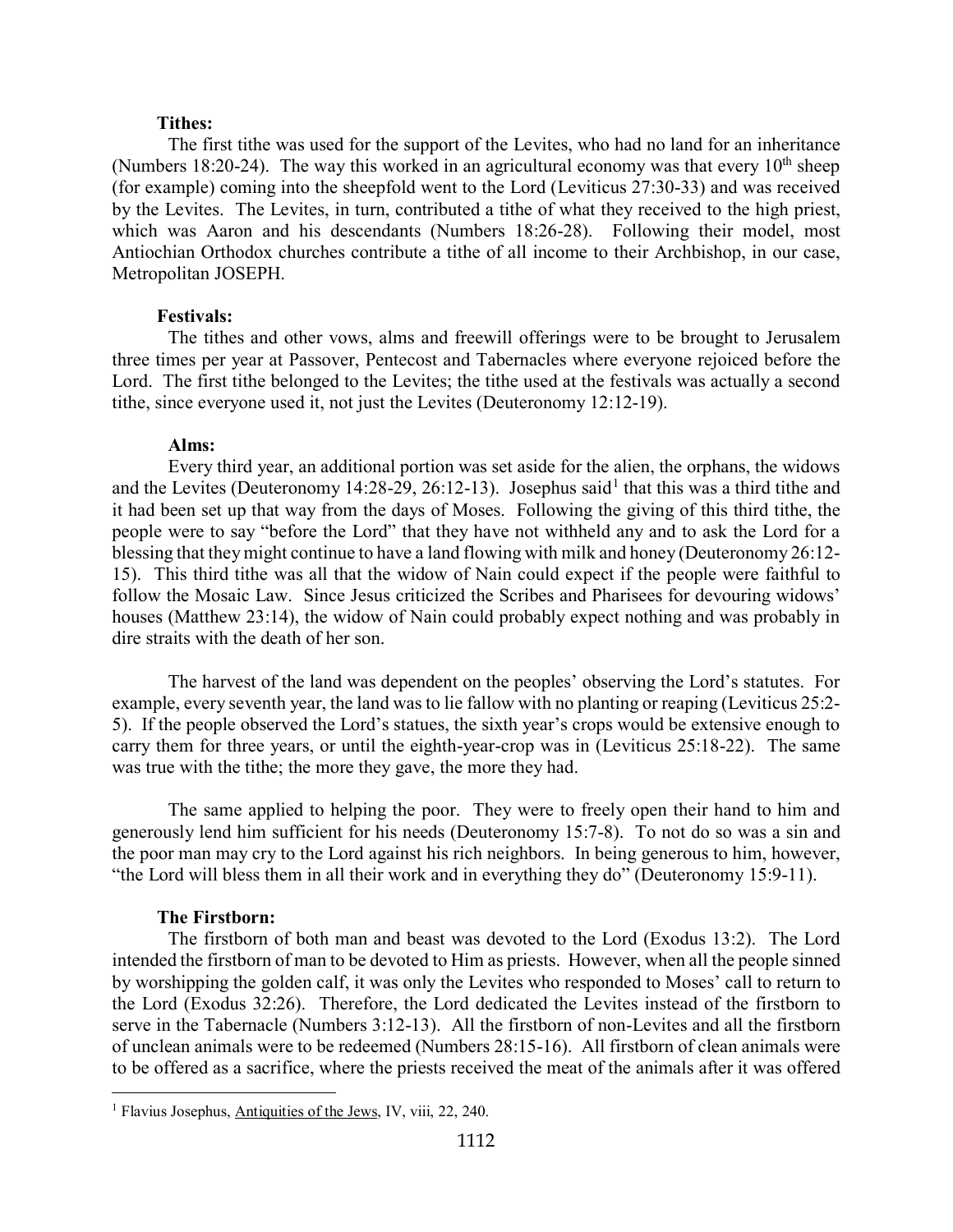### **Tithes:**

<span id="page-1-0"></span>The first tithe was used for the support of the Levites, who had no land for an inheritance (Numbers 18:20-24). The way this worked in an agricultural economy was that every  $10^{th}$  sheep (for example) coming into the sheepfold went to the Lord (Leviticus 27:30-33) and was received by the Levites. The Levites, in turn, contributed a tithe of what they received to the high priest, which was Aaron and his descendants (Numbers 18:26-28). Following their model, most Antiochian Orthodox churches contribute a tithe of all income to their Archbishop, in our case, Metropolitan JOSEPH.

#### **Festivals:**

<span id="page-1-1"></span>The tithes and other vows, alms and freewill offerings were to be brought to Jerusalem three times per year at Passover, Pentecost and Tabernacles where everyone rejoiced before the Lord. The first tithe belonged to the Levites; the tithe used at the festivals was actually a second tithe, since everyone used it, not just the Levites (Deuteronomy 12:12-19).

#### **Alms:**

Every third year, an additional portion was set aside for the alien, the orphans, the widows and the Levites (Deuteronomy [1](#page-1-3)4:28-29, 26:12-13). Josephus said<sup>1</sup> that this was a third tithe and it had been set up that way from the days of Moses. Following the giving of this third tithe, the people were to say "before the Lord" that they have not withheld any and to ask the Lord for a blessing that they might continue to have a land flowing with milk and honey (Deuteronomy 26:12- 15). This third tithe was all that the widow of Nain could expect if the people were faithful to follow the Mosaic Law. Since Jesus criticized the Scribes and Pharisees for devouring widows' houses (Matthew 23:14), the widow of Nain could probably expect nothing and was probably in dire straits with the death of her son.

The harvest of the land was dependent on the peoples' observing the Lord's statutes. For example, every seventh year, the land was to lie fallow with no planting or reaping (Leviticus 25:2- 5). If the people observed the Lord's statues, the sixth year's crops would be extensive enough to carry them for three years, or until the eighth-year-crop was in (Leviticus 25:18-22). The same was true with the tithe; the more they gave, the more they had.

The same applied to helping the poor. They were to freely open their hand to him and generously lend him sufficient for his needs (Deuteronomy 15:7-8). To not do so was a sin and the poor man may cry to the Lord against his rich neighbors. In being generous to him, however, "the Lord will bless them in all their work and in everything they do" (Deuteronomy 15:9-11).

#### **The Firstborn:**

<span id="page-1-2"></span>The firstborn of both man and beast was devoted to the Lord (Exodus 13:2). The Lord intended the firstborn of man to be devoted to Him as priests. However, when all the people sinned by worshipping the golden calf, it was only the Levites who responded to Moses' call to return to the Lord (Exodus 32:26). Therefore, the Lord dedicated the Levites instead of the firstborn to serve in the Tabernacle (Numbers 3:12-13). All the firstborn of non-Levites and all the firstborn of unclean animals were to be redeemed (Numbers 28:15-16). All firstborn of clean animals were to be offered as a sacrifice, where the priests received the meat of the animals after it was offered

<span id="page-1-3"></span><sup>&</sup>lt;sup>1</sup> Flavius Josephus, Antiquities of the Jews, IV, viii, 22, 240.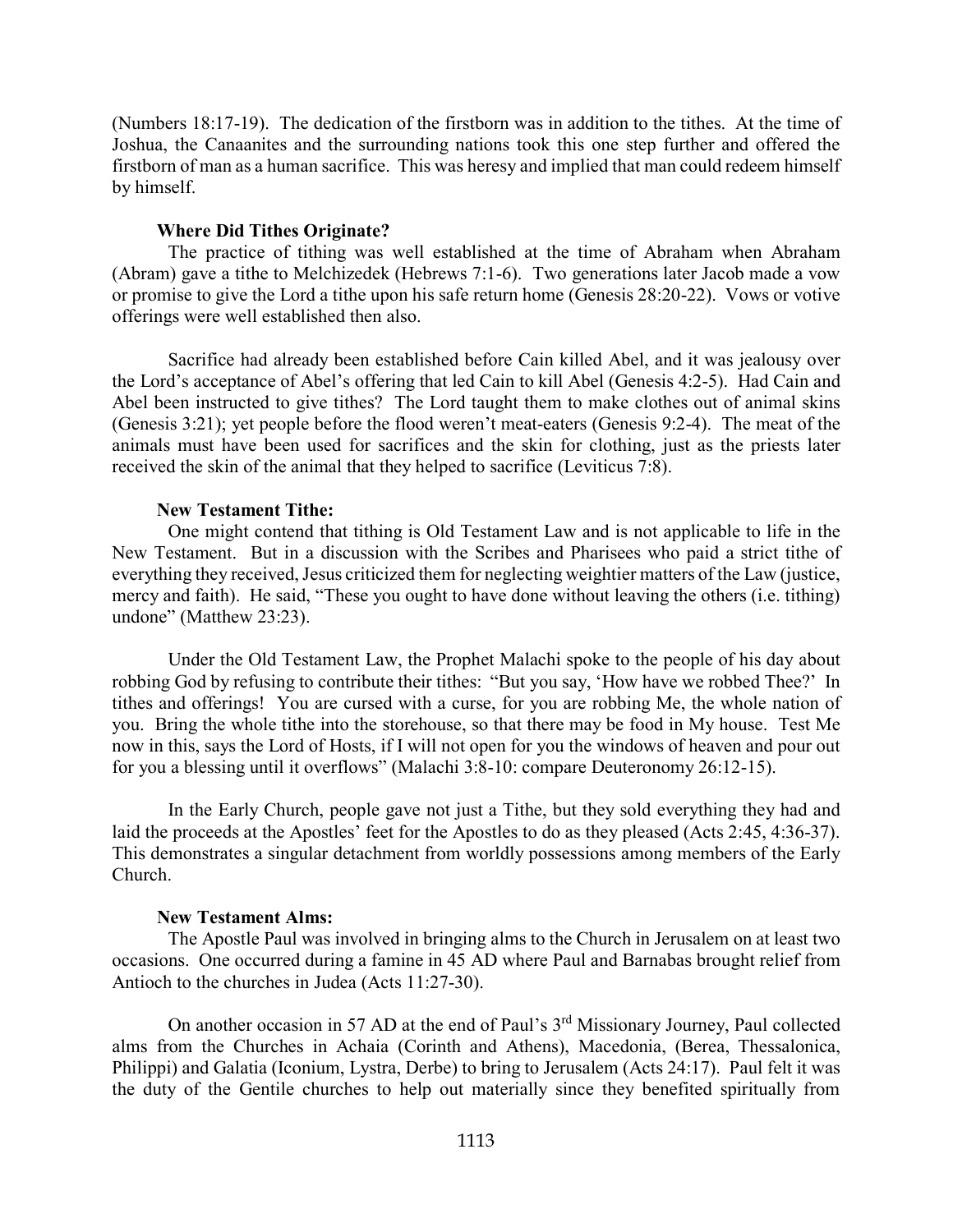(Numbers 18:17-19). The dedication of the firstborn was in addition to the tithes. At the time of Joshua, the Canaanites and the surrounding nations took this one step further and offered the firstborn of man as a human sacrifice. This was heresy and implied that man could redeem himself by himself.

### **Where Did Tithes Originate?**

<span id="page-2-0"></span>The practice of tithing was well established at the time of Abraham when Abraham (Abram) gave a tithe to Melchizedek (Hebrews 7:1-6). Two generations later Jacob made a vow or promise to give the Lord a tithe upon his safe return home (Genesis 28:20-22). Vows or votive offerings were well established then also.

Sacrifice had already been established before Cain killed Abel, and it was jealousy over the Lord's acceptance of Abel's offering that led Cain to kill Abel (Genesis 4:2-5). Had Cain and Abel been instructed to give tithes? The Lord taught them to make clothes out of animal skins (Genesis 3:21); yet people before the flood weren't meat-eaters (Genesis 9:2-4). The meat of the animals must have been used for sacrifices and the skin for clothing, just as the priests later received the skin of the animal that they helped to sacrifice (Leviticus 7:8).

#### **New Testament Tithe:**

<span id="page-2-1"></span>One might contend that tithing is Old Testament Law and is not applicable to life in the New Testament. But in a discussion with the Scribes and Pharisees who paid a strict tithe of everything they received, Jesus criticized them for neglecting weightier matters of the Law (justice, mercy and faith). He said, "These you ought to have done without leaving the others (i.e. tithing) undone" (Matthew 23:23).

Under the Old Testament Law, the Prophet Malachi spoke to the people of his day about robbing God by refusing to contribute their tithes: "But you say, 'How have we robbed Thee?' In tithes and offerings! You are cursed with a curse, for you are robbing Me, the whole nation of you. Bring the whole tithe into the storehouse, so that there may be food in My house. Test Me now in this, says the Lord of Hosts, if I will not open for you the windows of heaven and pour out for you a blessing until it overflows" (Malachi 3:8-10: compare Deuteronomy 26:12-15).

In the Early Church, people gave not just a Tithe, but they sold everything they had and laid the proceeds at the Apostles' feet for the Apostles to do as they pleased (Acts 2:45, 4:36-37). This demonstrates a singular detachment from worldly possessions among members of the Early Church.

#### **New Testament Alms:**

<span id="page-2-2"></span>The Apostle Paul was involved in bringing alms to the Church in Jerusalem on at least two occasions. One occurred during a famine in 45 AD where Paul and Barnabas brought relief from Antioch to the churches in Judea (Acts 11:27-30).

On another occasion in 57 AD at the end of Paul's 3<sup>rd</sup> Missionary Journey, Paul collected alms from the Churches in Achaia (Corinth and Athens), Macedonia, (Berea, Thessalonica, Philippi) and Galatia (Iconium, Lystra, Derbe) to bring to Jerusalem (Acts 24:17). Paul felt it was the duty of the Gentile churches to help out materially since they benefited spiritually from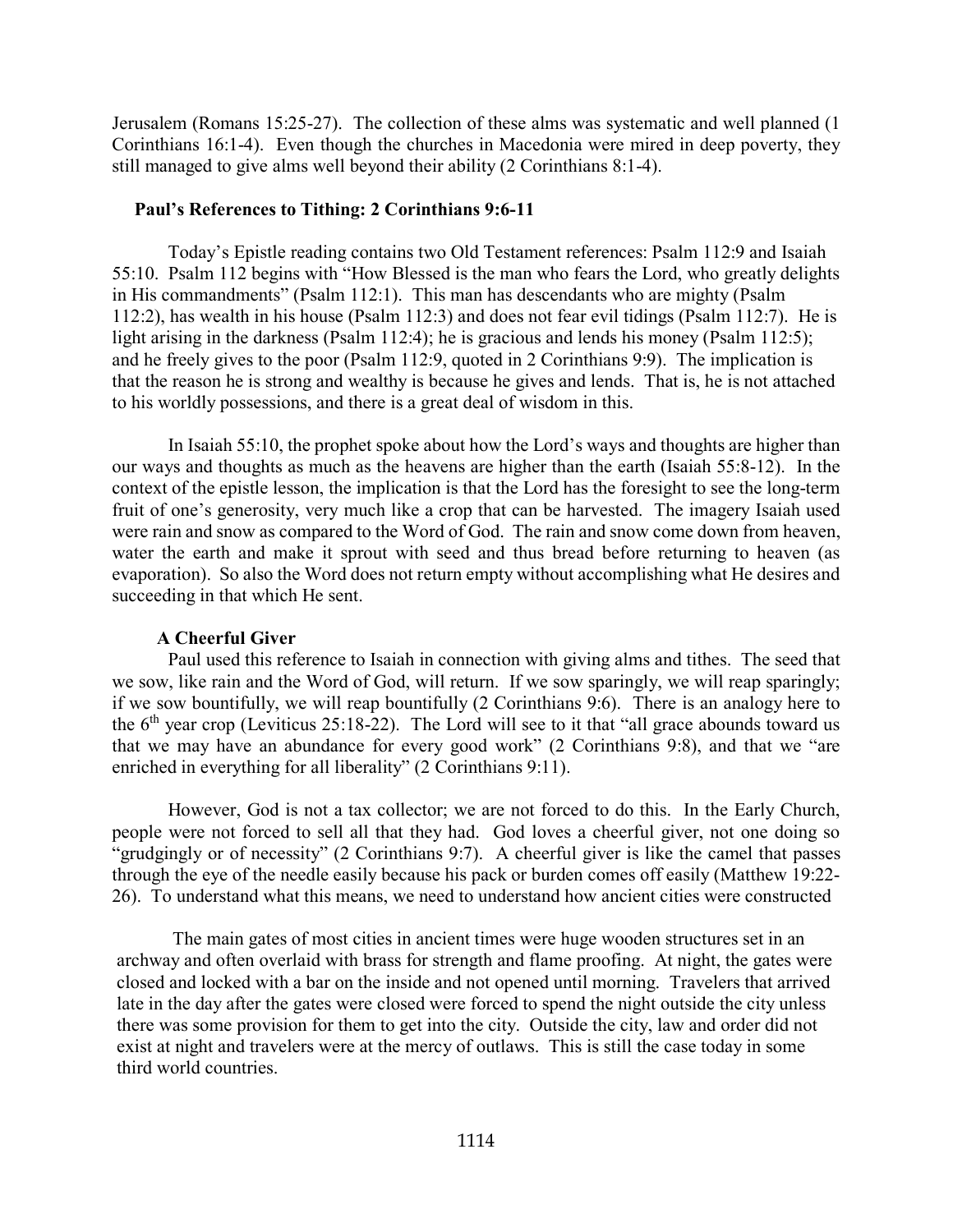Jerusalem (Romans 15:25-27). The collection of these alms was systematic and well planned (1 Corinthians 16:1-4). Even though the churches in Macedonia were mired in deep poverty, they still managed to give alms well beyond their ability (2 Corinthians 8:1-4).

#### <span id="page-3-0"></span>**Paul's References to Tithing: 2 Corinthians 9:6-11**

Today's Epistle reading contains two Old Testament references: Psalm 112:9 and Isaiah 55:10. Psalm 112 begins with "How Blessed is the man who fears the Lord, who greatly delights in His commandments" (Psalm 112:1). This man has descendants who are mighty (Psalm 112:2), has wealth in his house (Psalm 112:3) and does not fear evil tidings (Psalm 112:7). He is light arising in the darkness (Psalm 112:4); he is gracious and lends his money (Psalm 112:5); and he freely gives to the poor (Psalm 112:9, quoted in 2 Corinthians 9:9). The implication is that the reason he is strong and wealthy is because he gives and lends. That is, he is not attached to his worldly possessions, and there is a great deal of wisdom in this.

In Isaiah 55:10, the prophet spoke about how the Lord's ways and thoughts are higher than our ways and thoughts as much as the heavens are higher than the earth (Isaiah 55:8-12). In the context of the epistle lesson, the implication is that the Lord has the foresight to see the long-term fruit of one's generosity, very much like a crop that can be harvested. The imagery Isaiah used were rain and snow as compared to the Word of God. The rain and snow come down from heaven, water the earth and make it sprout with seed and thus bread before returning to heaven (as evaporation). So also the Word does not return empty without accomplishing what He desires and succeeding in that which He sent.

#### **A Cheerful Giver**

<span id="page-3-1"></span>Paul used this reference to Isaiah in connection with giving alms and tithes. The seed that we sow, like rain and the Word of God, will return. If we sow sparingly, we will reap sparingly; if we sow bountifully, we will reap bountifully (2 Corinthians 9:6). There is an analogy here to the  $6<sup>th</sup>$  year crop (Leviticus 25:18-22). The Lord will see to it that "all grace abounds toward us that we may have an abundance for every good work" (2 Corinthians 9:8), and that we "are enriched in everything for all liberality" (2 Corinthians 9:11).

However, God is not a tax collector; we are not forced to do this. In the Early Church, people were not forced to sell all that they had. God loves a cheerful giver, not one doing so "grudgingly or of necessity" (2 Corinthians 9:7). A cheerful giver is like the camel that passes through the eye of the needle easily because his pack or burden comes off easily (Matthew 19:22- 26). To understand what this means, we need to understand how ancient cities were constructed

The main gates of most cities in ancient times were huge wooden structures set in an archway and often overlaid with brass for strength and flame proofing. At night, the gates were closed and locked with a bar on the inside and not opened until morning. Travelers that arrived late in the day after the gates were closed were forced to spend the night outside the city unless there was some provision for them to get into the city. Outside the city, law and order did not exist at night and travelers were at the mercy of outlaws. This is still the case today in some third world countries.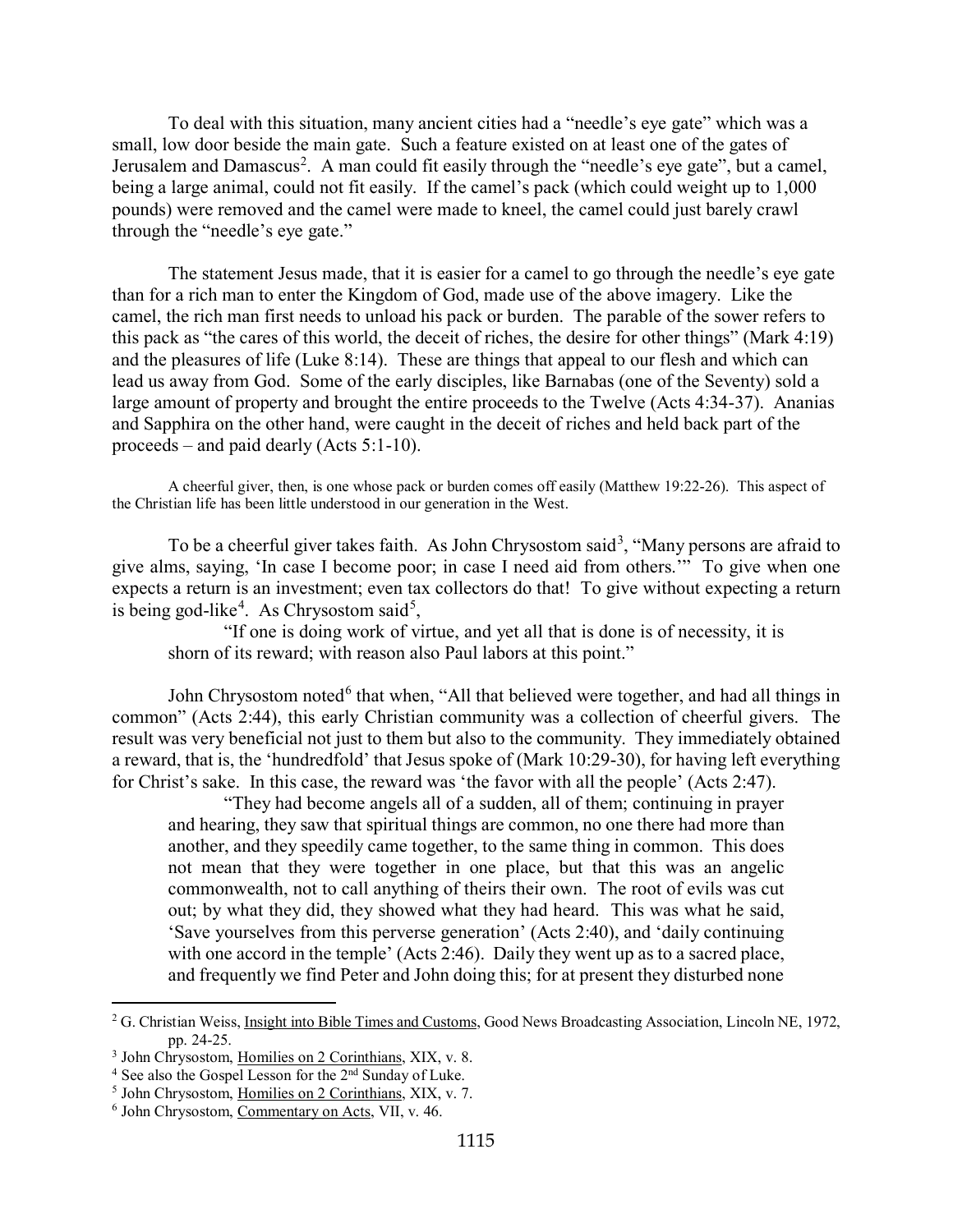To deal with this situation, many ancient cities had a "needle's eye gate" which was a small, low door beside the main gate. Such a feature existed on at least one of the gates of Jerusalem and Damascus<sup>[2](#page-4-0)</sup>. A man could fit easily through the "needle's eye gate", but a camel, being a large animal, could not fit easily. If the camel's pack (which could weight up to 1,000 pounds) were removed and the camel were made to kneel, the camel could just barely crawl through the "needle's eye gate."

The statement Jesus made, that it is easier for a camel to go through the needle's eye gate than for a rich man to enter the Kingdom of God, made use of the above imagery. Like the camel, the rich man first needs to unload his pack or burden. The parable of the sower refers to this pack as "the cares of this world, the deceit of riches, the desire for other things" (Mark 4:19) and the pleasures of life (Luke 8:14). These are things that appeal to our flesh and which can lead us away from God. Some of the early disciples, like Barnabas (one of the Seventy) sold a large amount of property and brought the entire proceeds to the Twelve (Acts 4:34-37). Ananias and Sapphira on the other hand, were caught in the deceit of riches and held back part of the proceeds – and paid dearly (Acts 5:1-10).

A cheerful giver, then, is one whose pack or burden comes off easily (Matthew 19:22-26). This aspect of the Christian life has been little understood in our generation in the West.

To be a cheerful giver takes faith. As John Chrysostom said<sup>[3](#page-4-1)</sup>, "Many persons are afraid to give alms, saying, 'In case I become poor; in case I need aid from others.'" To give when one expects a return is an investment; even tax collectors do that! To give without expecting a return is being god-like<sup>[4](#page-4-2)</sup>. As Chrysostom said<sup>[5](#page-4-3)</sup>,

"If one is doing work of virtue, and yet all that is done is of necessity, it is shorn of its reward; with reason also Paul labors at this point."

John Chrysostom noted<sup>[6](#page-4-4)</sup> that when, "All that believed were together, and had all things in common" (Acts 2:44), this early Christian community was a collection of cheerful givers. The result was very beneficial not just to them but also to the community. They immediately obtained a reward, that is, the 'hundredfold' that Jesus spoke of (Mark 10:29-30), for having left everything for Christ's sake. In this case, the reward was 'the favor with all the people' (Acts 2:47).

"They had become angels all of a sudden, all of them; continuing in prayer and hearing, they saw that spiritual things are common, no one there had more than another, and they speedily came together, to the same thing in common. This does not mean that they were together in one place, but that this was an angelic commonwealth, not to call anything of theirs their own. The root of evils was cut out; by what they did, they showed what they had heard. This was what he said, 'Save yourselves from this perverse generation' (Acts 2:40), and 'daily continuing with one accord in the temple' (Acts 2:46). Daily they went up as to a sacred place, and frequently we find Peter and John doing this; for at present they disturbed none

<span id="page-4-0"></span> $2$  G. Christian Weiss, Insight into Bible Times and Customs, Good News Broadcasting Association, Lincoln NE, 1972, pp. 24-25.

<span id="page-4-1"></span><sup>3</sup> John Chrysostom, Homilies on 2 Corinthians, XIX, v. 8.

<span id="page-4-2"></span> $4$  See also the Gospel Lesson for the  $2<sup>nd</sup>$  Sunday of Luke.

<span id="page-4-3"></span><sup>5</sup> John Chrysostom, Homilies on 2 Corinthians, XIX, v. 7.

<span id="page-4-4"></span><sup>6</sup> John Chrysostom, Commentary on Acts, VII, v. 46.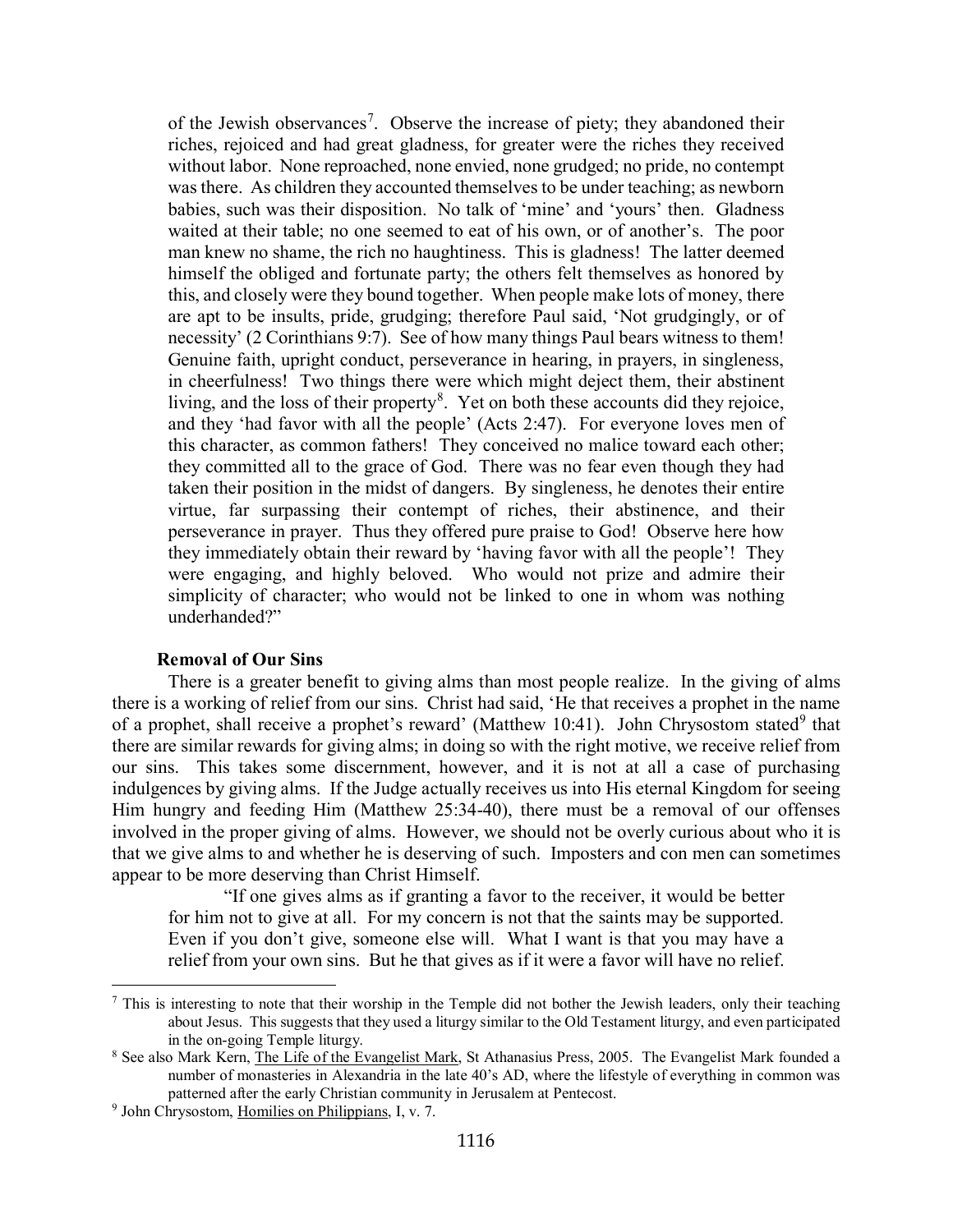of the Jewish observances<sup>[7](#page-5-1)</sup>. Observe the increase of piety; they abandoned their riches, rejoiced and had great gladness, for greater were the riches they received without labor. None reproached, none envied, none grudged; no pride, no contempt was there. As children they accounted themselves to be under teaching; as newborn babies, such was their disposition. No talk of 'mine' and 'yours' then. Gladness waited at their table; no one seemed to eat of his own, or of another's. The poor man knew no shame, the rich no haughtiness. This is gladness! The latter deemed himself the obliged and fortunate party; the others felt themselves as honored by this, and closely were they bound together. When people make lots of money, there are apt to be insults, pride, grudging; therefore Paul said, 'Not grudgingly, or of necessity' (2 Corinthians 9:7). See of how many things Paul bears witness to them! Genuine faith, upright conduct, perseverance in hearing, in prayers, in singleness, in cheerfulness! Two things there were which might deject them, their abstinent living, and the loss of their property<sup>[8](#page-5-2)</sup>. Yet on both these accounts did they rejoice, and they 'had favor with all the people' (Acts 2:47). For everyone loves men of this character, as common fathers! They conceived no malice toward each other; they committed all to the grace of God. There was no fear even though they had taken their position in the midst of dangers. By singleness, he denotes their entire virtue, far surpassing their contempt of riches, their abstinence, and their perseverance in prayer. Thus they offered pure praise to God! Observe here how they immediately obtain their reward by 'having favor with all the people'! They were engaging, and highly beloved. Who would not prize and admire their simplicity of character; who would not be linked to one in whom was nothing underhanded?"

### **Removal of Our Sins**

<span id="page-5-0"></span>There is a greater benefit to giving alms than most people realize. In the giving of alms there is a working of relief from our sins. Christ had said, 'He that receives a prophet in the name of a prophet, shall receive a prophet's reward' (Matthew 10:41). John Chrysostom stated<sup>[9](#page-5-3)</sup> that there are similar rewards for giving alms; in doing so with the right motive, we receive relief from our sins. This takes some discernment, however, and it is not at all a case of purchasing indulgences by giving alms. If the Judge actually receives us into His eternal Kingdom for seeing Him hungry and feeding Him (Matthew 25:34-40), there must be a removal of our offenses involved in the proper giving of alms. However, we should not be overly curious about who it is that we give alms to and whether he is deserving of such. Imposters and con men can sometimes appear to be more deserving than Christ Himself.

"If one gives alms as if granting a favor to the receiver, it would be better for him not to give at all. For my concern is not that the saints may be supported. Even if you don't give, someone else will. What I want is that you may have a relief from your own sins. But he that gives as if it were a favor will have no relief.

<span id="page-5-1"></span> $<sup>7</sup>$  This is interesting to note that their worship in the Temple did not bother the Jewish leaders, only their teaching</sup> about Jesus. This suggests that they used a liturgy similar to the Old Testament liturgy, and even participated in the on-going Temple liturgy.

<span id="page-5-2"></span><sup>&</sup>lt;sup>8</sup> See also Mark Kern, *The Life of the Evangelist Mark*, St Athanasius Press, 2005. The Evangelist Mark founded a number of monasteries in Alexandria in the late 40's AD, where the lifestyle of everything in common was patterned after the early Christian community in Jerusalem at Pentecost.

<span id="page-5-3"></span><sup>9</sup> John Chrysostom, Homilies on Philippians, I, v. 7.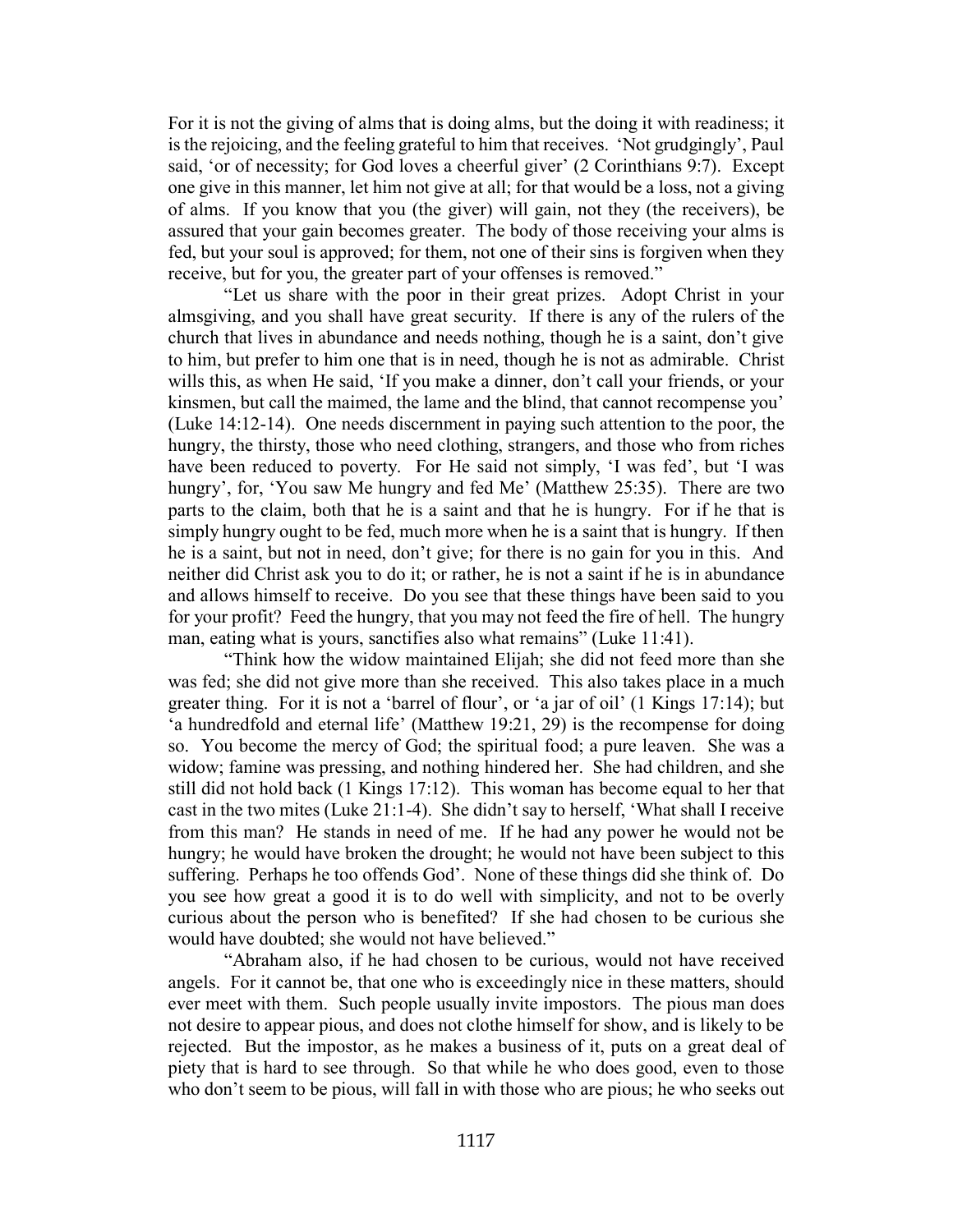For it is not the giving of alms that is doing alms, but the doing it with readiness; it is the rejoicing, and the feeling grateful to him that receives. 'Not grudgingly', Paul said, 'or of necessity; for God loves a cheerful giver' (2 Corinthians 9:7). Except one give in this manner, let him not give at all; for that would be a loss, not a giving of alms. If you know that you (the giver) will gain, not they (the receivers), be assured that your gain becomes greater. The body of those receiving your alms is fed, but your soul is approved; for them, not one of their sins is forgiven when they receive, but for you, the greater part of your offenses is removed."

"Let us share with the poor in their great prizes. Adopt Christ in your almsgiving, and you shall have great security. If there is any of the rulers of the church that lives in abundance and needs nothing, though he is a saint, don't give to him, but prefer to him one that is in need, though he is not as admirable. Christ wills this, as when He said, 'If you make a dinner, don't call your friends, or your kinsmen, but call the maimed, the lame and the blind, that cannot recompense you' (Luke 14:12-14). One needs discernment in paying such attention to the poor, the hungry, the thirsty, those who need clothing, strangers, and those who from riches have been reduced to poverty. For He said not simply, 'I was fed', but 'I was hungry', for, 'You saw Me hungry and fed Me' (Matthew 25:35). There are two parts to the claim, both that he is a saint and that he is hungry. For if he that is simply hungry ought to be fed, much more when he is a saint that is hungry. If then he is a saint, but not in need, don't give; for there is no gain for you in this. And neither did Christ ask you to do it; or rather, he is not a saint if he is in abundance and allows himself to receive. Do you see that these things have been said to you for your profit? Feed the hungry, that you may not feed the fire of hell. The hungry man, eating what is yours, sanctifies also what remains" (Luke 11:41).

"Think how the widow maintained Elijah; she did not feed more than she was fed; she did not give more than she received. This also takes place in a much greater thing. For it is not a 'barrel of flour', or 'a jar of oil' (1 Kings 17:14); but 'a hundredfold and eternal life' (Matthew 19:21, 29) is the recompense for doing so. You become the mercy of God; the spiritual food; a pure leaven. She was a widow; famine was pressing, and nothing hindered her. She had children, and she still did not hold back (1 Kings 17:12). This woman has become equal to her that cast in the two mites (Luke 21:1-4). She didn't say to herself, 'What shall I receive from this man? He stands in need of me. If he had any power he would not be hungry; he would have broken the drought; he would not have been subject to this suffering. Perhaps he too offends God'. None of these things did she think of. Do you see how great a good it is to do well with simplicity, and not to be overly curious about the person who is benefited? If she had chosen to be curious she would have doubted; she would not have believed."

"Abraham also, if he had chosen to be curious, would not have received angels. For it cannot be, that one who is exceedingly nice in these matters, should ever meet with them. Such people usually invite impostors. The pious man does not desire to appear pious, and does not clothe himself for show, and is likely to be rejected. But the impostor, as he makes a business of it, puts on a great deal of piety that is hard to see through. So that while he who does good, even to those who don't seem to be pious, will fall in with those who are pious; he who seeks out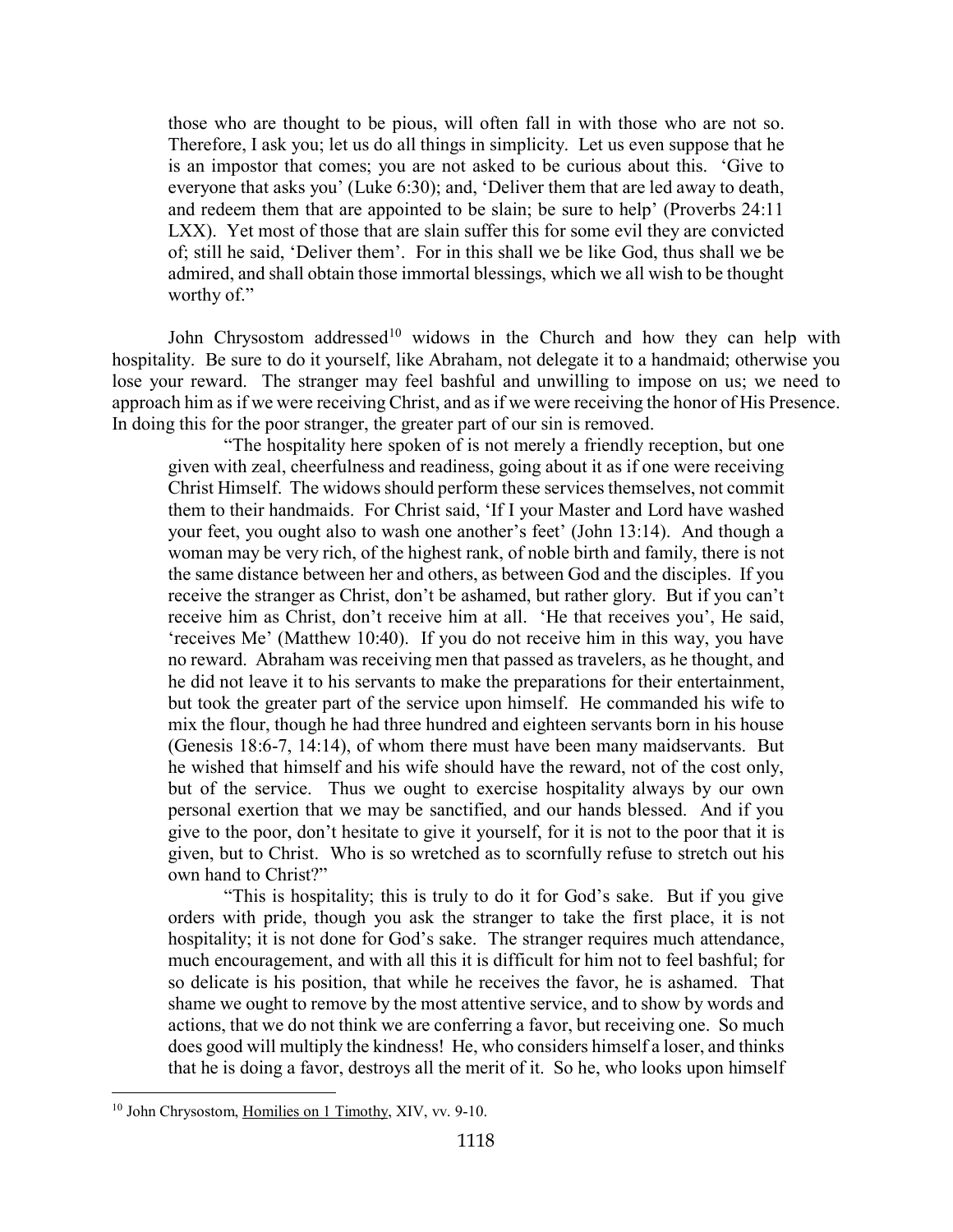those who are thought to be pious, will often fall in with those who are not so. Therefore, I ask you; let us do all things in simplicity. Let us even suppose that he is an impostor that comes; you are not asked to be curious about this. 'Give to everyone that asks you' (Luke 6:30); and, 'Deliver them that are led away to death, and redeem them that are appointed to be slain; be sure to help' (Proverbs 24:11 LXX). Yet most of those that are slain suffer this for some evil they are convicted of; still he said, 'Deliver them'. For in this shall we be like God, thus shall we be admired, and shall obtain those immortal blessings, which we all wish to be thought worthy of."

John Chrysostom addressed<sup>[10](#page-7-0)</sup> widows in the Church and how they can help with hospitality. Be sure to do it yourself, like Abraham, not delegate it to a handmaid; otherwise you lose your reward. The stranger may feel bashful and unwilling to impose on us; we need to approach him as if we were receiving Christ, and as if we were receiving the honor of His Presence. In doing this for the poor stranger, the greater part of our sin is removed.

"The hospitality here spoken of is not merely a friendly reception, but one given with zeal, cheerfulness and readiness, going about it as if one were receiving Christ Himself. The widows should perform these services themselves, not commit them to their handmaids. For Christ said, 'If I your Master and Lord have washed your feet, you ought also to wash one another's feet' (John 13:14). And though a woman may be very rich, of the highest rank, of noble birth and family, there is not the same distance between her and others, as between God and the disciples. If you receive the stranger as Christ, don't be ashamed, but rather glory. But if you can't receive him as Christ, don't receive him at all. 'He that receives you', He said, 'receives Me' (Matthew 10:40). If you do not receive him in this way, you have no reward. Abraham was receiving men that passed as travelers, as he thought, and he did not leave it to his servants to make the preparations for their entertainment, but took the greater part of the service upon himself. He commanded his wife to mix the flour, though he had three hundred and eighteen servants born in his house (Genesis 18:6-7, 14:14), of whom there must have been many maidservants. But he wished that himself and his wife should have the reward, not of the cost only, but of the service. Thus we ought to exercise hospitality always by our own personal exertion that we may be sanctified, and our hands blessed. And if you give to the poor, don't hesitate to give it yourself, for it is not to the poor that it is given, but to Christ. Who is so wretched as to scornfully refuse to stretch out his own hand to Christ?"

"This is hospitality; this is truly to do it for God's sake. But if you give orders with pride, though you ask the stranger to take the first place, it is not hospitality; it is not done for God's sake. The stranger requires much attendance, much encouragement, and with all this it is difficult for him not to feel bashful; for so delicate is his position, that while he receives the favor, he is ashamed. That shame we ought to remove by the most attentive service, and to show by words and actions, that we do not think we are conferring a favor, but receiving one. So much does good will multiply the kindness! He, who considers himself a loser, and thinks that he is doing a favor, destroys all the merit of it. So he, who looks upon himself

<span id="page-7-0"></span><sup>&</sup>lt;sup>10</sup> John Chrysostom, Homilies on 1 Timothy, XIV, vv. 9-10.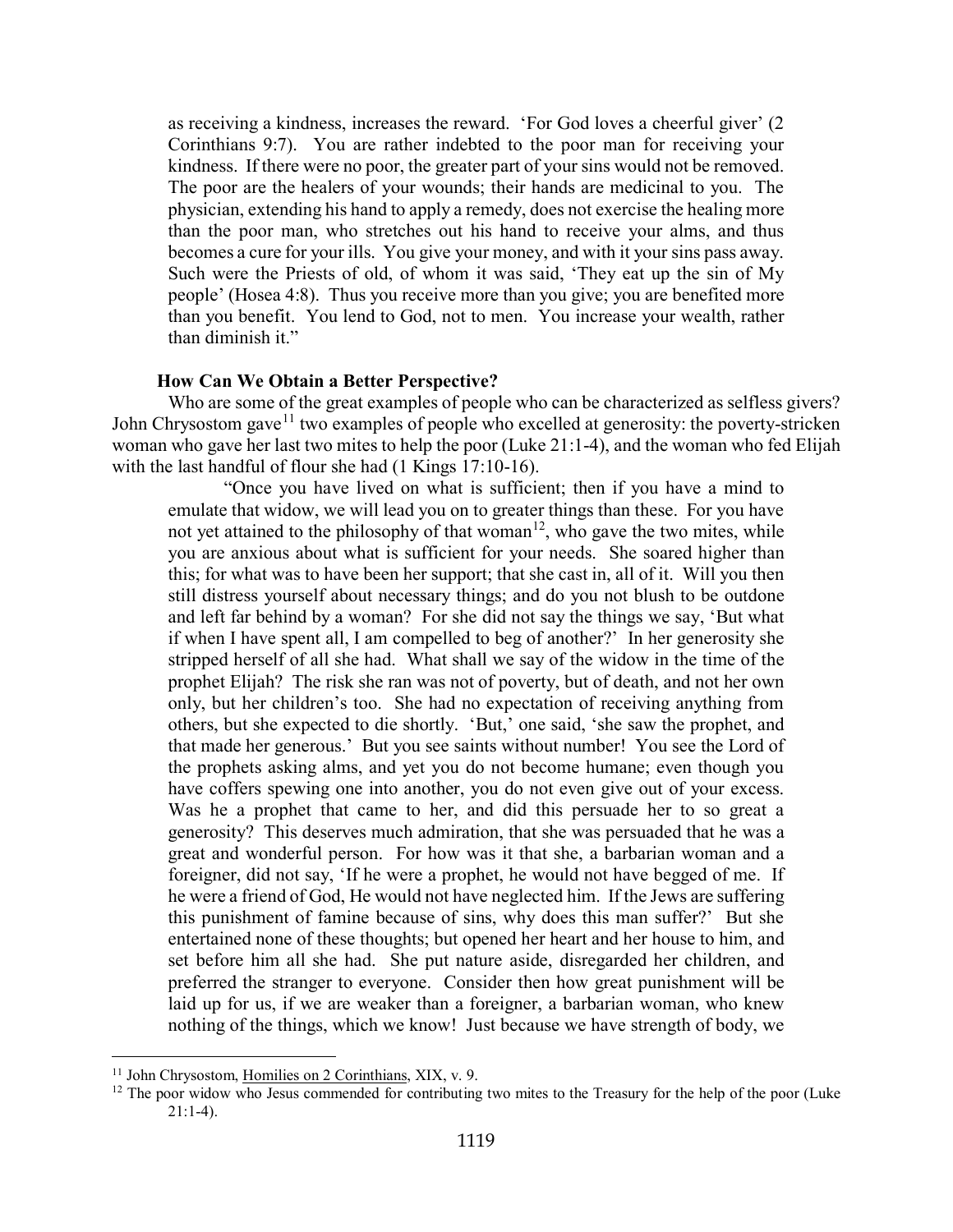as receiving a kindness, increases the reward. 'For God loves a cheerful giver' (2 Corinthians 9:7). You are rather indebted to the poor man for receiving your kindness. If there were no poor, the greater part of your sins would not be removed. The poor are the healers of your wounds; their hands are medicinal to you. The physician, extending his hand to apply a remedy, does not exercise the healing more than the poor man, who stretches out his hand to receive your alms, and thus becomes a cure for your ills. You give your money, and with it your sins pass away. Such were the Priests of old, of whom it was said, 'They eat up the sin of My people' (Hosea 4:8). Thus you receive more than you give; you are benefited more than you benefit. You lend to God, not to men. You increase your wealth, rather than diminish it."

#### **How Can We Obtain a Better Perspective?**

<span id="page-8-0"></span>Who are some of the great examples of people who can be characterized as selfless givers? John Chrysostom gave<sup>[11](#page-8-1)</sup> two examples of people who excelled at generosity: the poverty-stricken woman who gave her last two mites to help the poor (Luke 21:1-4), and the woman who fed Elijah with the last handful of flour she had  $(1$  Kings 17:10-16).

"Once you have lived on what is sufficient; then if you have a mind to emulate that widow, we will lead you on to greater things than these. For you have not yet attained to the philosophy of that woman<sup>[12](#page-8-2)</sup>, who gave the two mites, while you are anxious about what is sufficient for your needs. She soared higher than this; for what was to have been her support; that she cast in, all of it. Will you then still distress yourself about necessary things; and do you not blush to be outdone and left far behind by a woman? For she did not say the things we say, 'But what if when I have spent all, I am compelled to beg of another?' In her generosity she stripped herself of all she had. What shall we say of the widow in the time of the prophet Elijah? The risk she ran was not of poverty, but of death, and not her own only, but her children's too. She had no expectation of receiving anything from others, but she expected to die shortly. 'But,' one said, 'she saw the prophet, and that made her generous.' But you see saints without number! You see the Lord of the prophets asking alms, and yet you do not become humane; even though you have coffers spewing one into another, you do not even give out of your excess. Was he a prophet that came to her, and did this persuade her to so great a generosity? This deserves much admiration, that she was persuaded that he was a great and wonderful person. For how was it that she, a barbarian woman and a foreigner, did not say, 'If he were a prophet, he would not have begged of me. If he were a friend of God, He would not have neglected him. If the Jews are suffering this punishment of famine because of sins, why does this man suffer?' But she entertained none of these thoughts; but opened her heart and her house to him, and set before him all she had. She put nature aside, disregarded her children, and preferred the stranger to everyone. Consider then how great punishment will be laid up for us, if we are weaker than a foreigner, a barbarian woman, who knew nothing of the things, which we know! Just because we have strength of body, we

<span id="page-8-1"></span><sup>&</sup>lt;sup>11</sup> John Chrysostom, Homilies on 2 Corinthians, XIX, v. 9.

<span id="page-8-2"></span><sup>&</sup>lt;sup>12</sup> The poor widow who Jesus commended for contributing two mites to the Treasury for the help of the poor (Luke  $21:1-4$ ).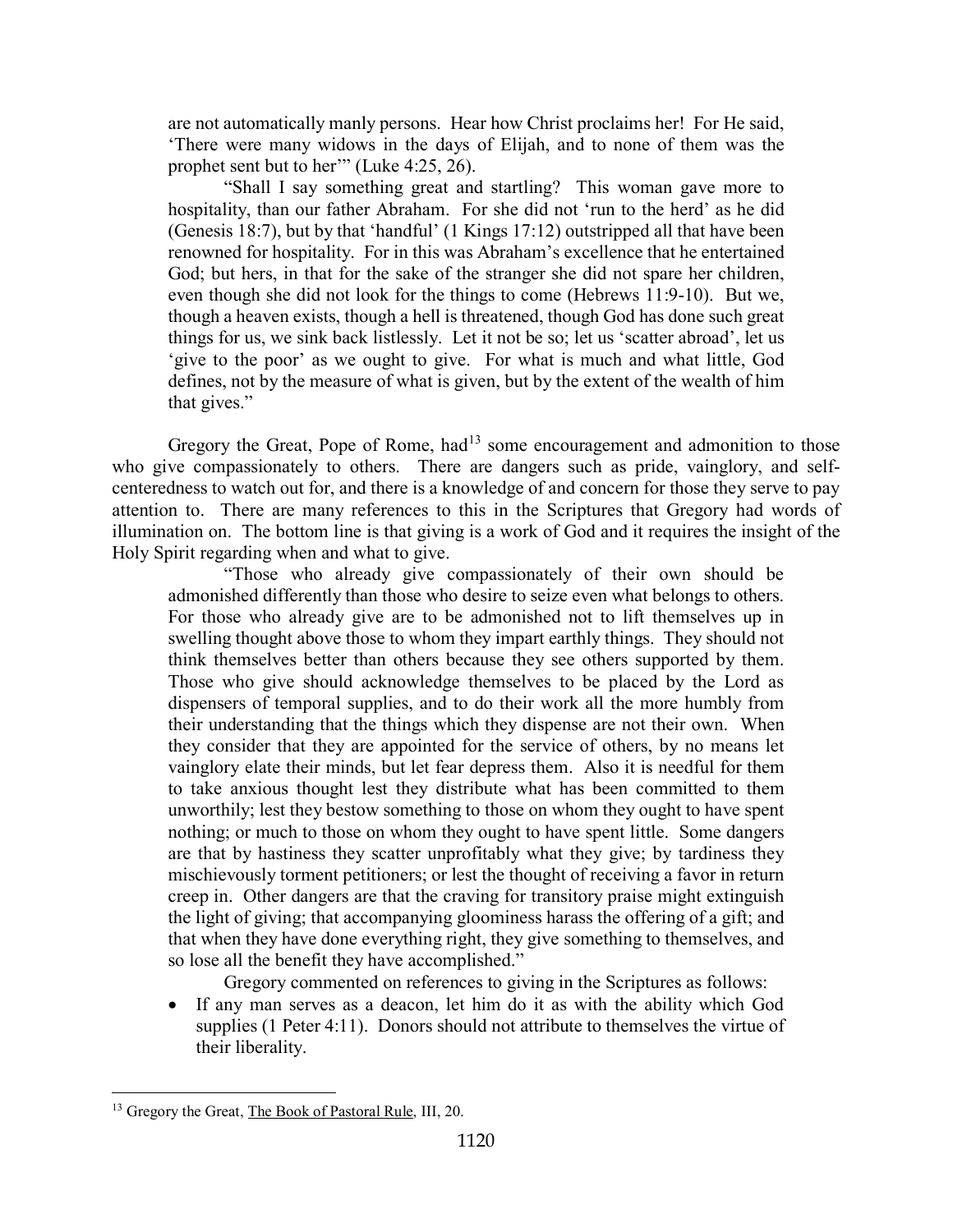are not automatically manly persons. Hear how Christ proclaims her! For He said, 'There were many widows in the days of Elijah, and to none of them was the prophet sent but to her" (Luke 4:25, 26).

"Shall I say something great and startling? This woman gave more to hospitality, than our father Abraham. For she did not 'run to the herd' as he did (Genesis 18:7), but by that 'handful' (1 Kings 17:12) outstripped all that have been renowned for hospitality. For in this was Abraham's excellence that he entertained God; but hers, in that for the sake of the stranger she did not spare her children, even though she did not look for the things to come (Hebrews 11:9-10). But we, though a heaven exists, though a hell is threatened, though God has done such great things for us, we sink back listlessly. Let it not be so; let us 'scatter abroad', let us 'give to the poor' as we ought to give. For what is much and what little, God defines, not by the measure of what is given, but by the extent of the wealth of him that gives."

Gregory the Great, Pope of Rome, had<sup>[13](#page-9-0)</sup> some encouragement and admonition to those who give compassionately to others. There are dangers such as pride, vainglory, and selfcenteredness to watch out for, and there is a knowledge of and concern for those they serve to pay attention to. There are many references to this in the Scriptures that Gregory had words of illumination on. The bottom line is that giving is a work of God and it requires the insight of the Holy Spirit regarding when and what to give.

"Those who already give compassionately of their own should be admonished differently than those who desire to seize even what belongs to others. For those who already give are to be admonished not to lift themselves up in swelling thought above those to whom they impart earthly things. They should not think themselves better than others because they see others supported by them. Those who give should acknowledge themselves to be placed by the Lord as dispensers of temporal supplies, and to do their work all the more humbly from their understanding that the things which they dispense are not their own. When they consider that they are appointed for the service of others, by no means let vainglory elate their minds, but let fear depress them. Also it is needful for them to take anxious thought lest they distribute what has been committed to them unworthily; lest they bestow something to those on whom they ought to have spent nothing; or much to those on whom they ought to have spent little. Some dangers are that by hastiness they scatter unprofitably what they give; by tardiness they mischievously torment petitioners; or lest the thought of receiving a favor in return creep in. Other dangers are that the craving for transitory praise might extinguish the light of giving; that accompanying gloominess harass the offering of a gift; and that when they have done everything right, they give something to themselves, and so lose all the benefit they have accomplished."

Gregory commented on references to giving in the Scriptures as follows:

If any man serves as a deacon, let him do it as with the ability which God supplies (1 Peter 4:11). Donors should not attribute to themselves the virtue of their liberality.

<span id="page-9-0"></span><sup>&</sup>lt;sup>13</sup> Gregory the Great, *The Book of Pastoral Rule*, *III*, 20.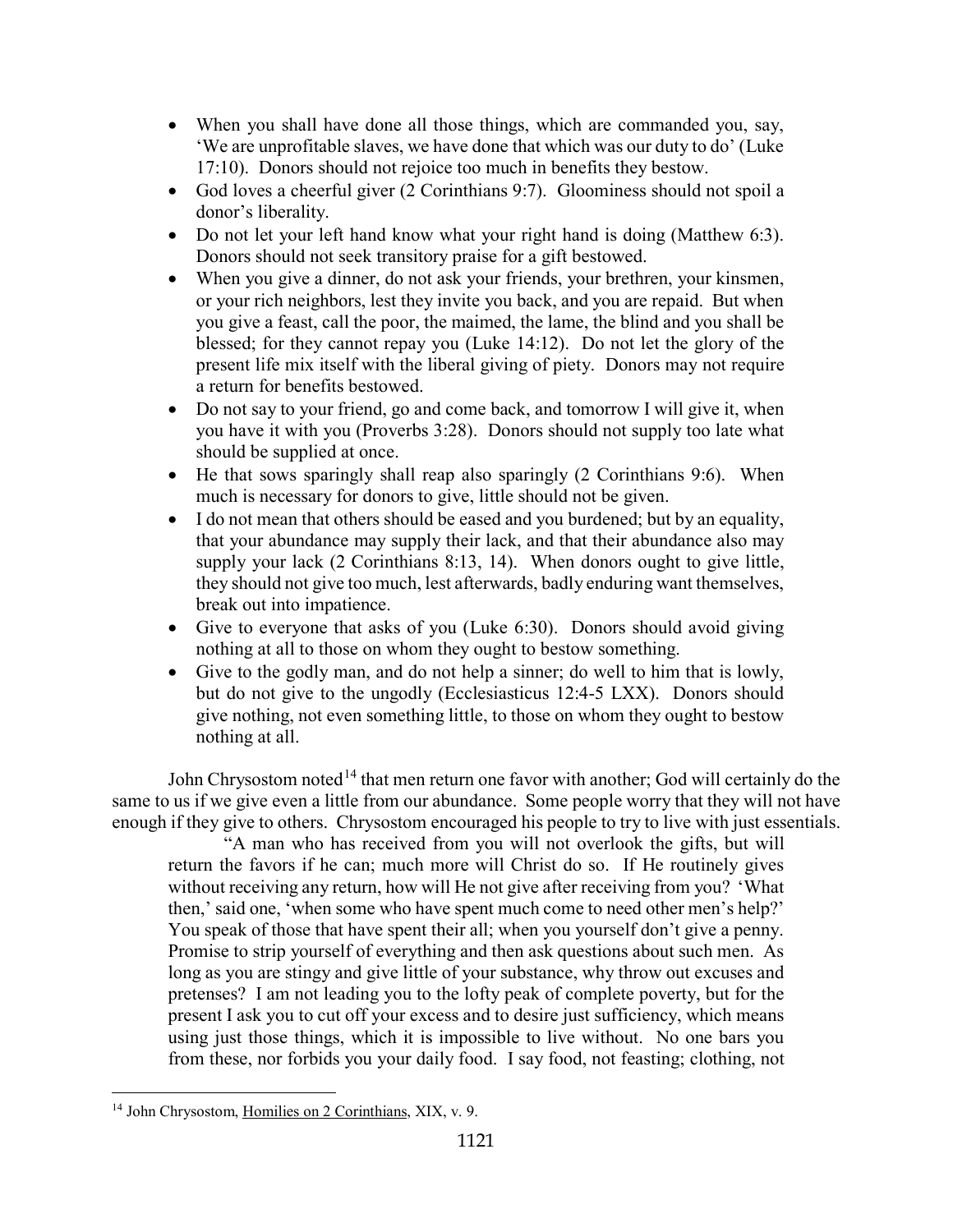- When you shall have done all those things, which are commanded you, say, 'We are unprofitable slaves, we have done that which was our duty to do' (Luke 17:10). Donors should not rejoice too much in benefits they bestow.
- God loves a cheerful giver (2 Corinthians 9:7). Gloominess should not spoil a donor's liberality.
- Do not let your left hand know what your right hand is doing (Matthew 6:3). Donors should not seek transitory praise for a gift bestowed.
- When you give a dinner, do not ask your friends, your brethren, your kinsmen, or your rich neighbors, lest they invite you back, and you are repaid. But when you give a feast, call the poor, the maimed, the lame, the blind and you shall be blessed; for they cannot repay you (Luke 14:12). Do not let the glory of the present life mix itself with the liberal giving of piety. Donors may not require a return for benefits bestowed.
- Do not say to your friend, go and come back, and tomorrow I will give it, when you have it with you (Proverbs 3:28). Donors should not supply too late what should be supplied at once.
- He that sows sparingly shall reap also sparingly (2 Corinthians 9:6). When much is necessary for donors to give, little should not be given.
- I do not mean that others should be eased and you burdened; but by an equality, that your abundance may supply their lack, and that their abundance also may supply your lack (2 Corinthians 8:13, 14). When donors ought to give little, they should not give too much, lest afterwards, badly enduring want themselves, break out into impatience.
- Give to everyone that asks of you (Luke 6:30). Donors should avoid giving nothing at all to those on whom they ought to bestow something.
- Give to the godly man, and do not help a sinner; do well to him that is lowly, but do not give to the ungodly (Ecclesiasticus 12:4-5 LXX). Donors should give nothing, not even something little, to those on whom they ought to bestow nothing at all.

John Chrysostom noted<sup>[14](#page-10-0)</sup> that men return one favor with another; God will certainly do the same to us if we give even a little from our abundance. Some people worry that they will not have enough if they give to others. Chrysostom encouraged his people to try to live with just essentials.

"A man who has received from you will not overlook the gifts, but will return the favors if he can; much more will Christ do so. If He routinely gives without receiving any return, how will He not give after receiving from you? 'What then,' said one, 'when some who have spent much come to need other men's help?' You speak of those that have spent their all; when you yourself don't give a penny. Promise to strip yourself of everything and then ask questions about such men. As long as you are stingy and give little of your substance, why throw out excuses and pretenses? I am not leading you to the lofty peak of complete poverty, but for the present I ask you to cut off your excess and to desire just sufficiency, which means using just those things, which it is impossible to live without. No one bars you from these, nor forbids you your daily food. I say food, not feasting; clothing, not

<span id="page-10-0"></span><sup>14</sup> John Chrysostom, Homilies on 2 Corinthians, XIX, v. 9.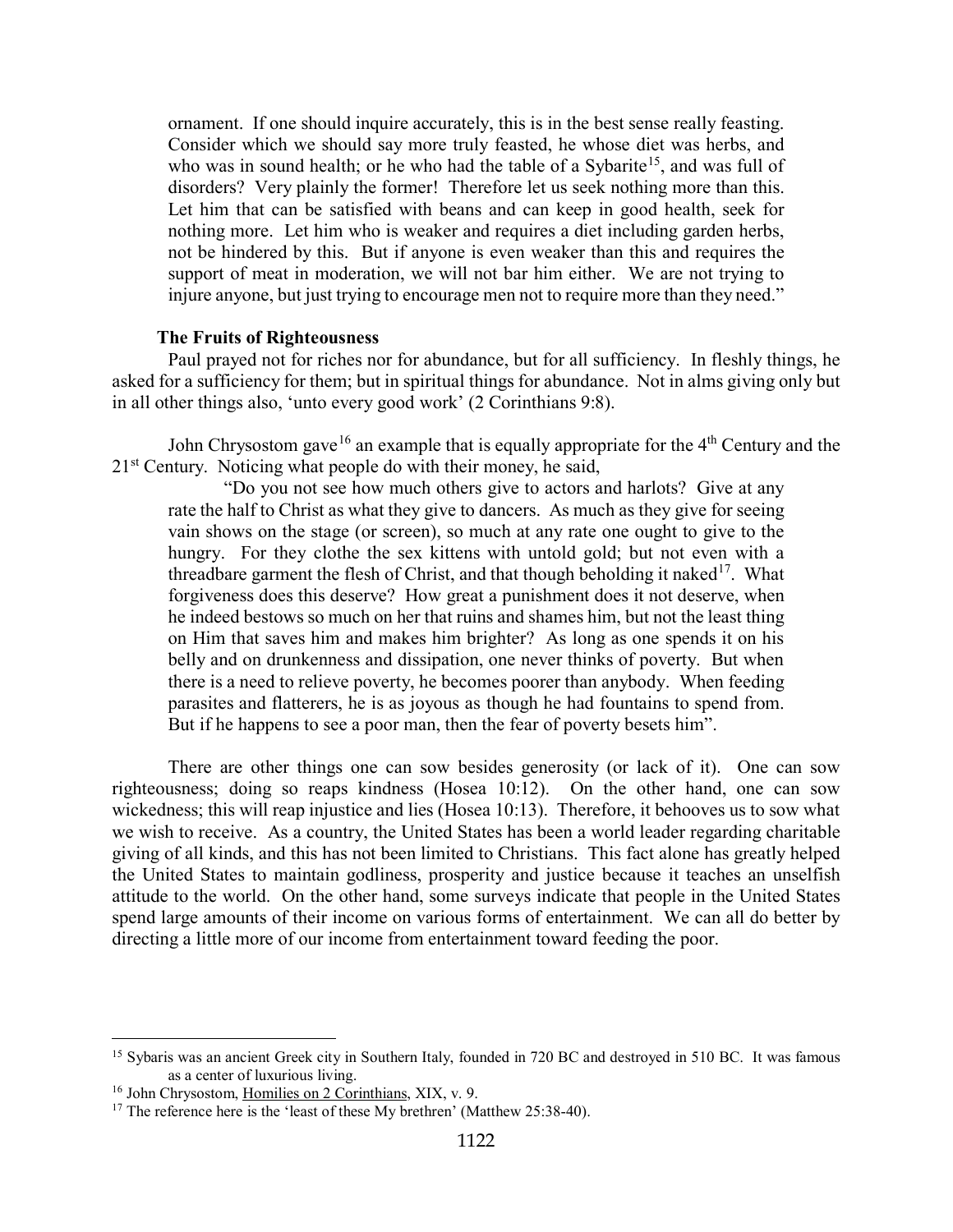ornament. If one should inquire accurately, this is in the best sense really feasting. Consider which we should say more truly feasted, he whose diet was herbs, and who was in sound health; or he who had the table of a Sybarite<sup>[15](#page-11-1)</sup>, and was full of disorders? Very plainly the former! Therefore let us seek nothing more than this. Let him that can be satisfied with beans and can keep in good health, seek for nothing more. Let him who is weaker and requires a diet including garden herbs, not be hindered by this. But if anyone is even weaker than this and requires the support of meat in moderation, we will not bar him either. We are not trying to injure anyone, but just trying to encourage men not to require more than they need."

#### **The Fruits of Righteousness**

<span id="page-11-0"></span>Paul prayed not for riches nor for abundance, but for all sufficiency. In fleshly things, he asked for a sufficiency for them; but in spiritual things for abundance. Not in alms giving only but in all other things also, 'unto every good work' (2 Corinthians 9:8).

John Chrysostom gave <sup>[16](#page-11-2)</sup> an example that is equally appropriate for the  $4<sup>th</sup>$  Century and the  $21<sup>st</sup>$  Century. Noticing what people do with their money, he said,

"Do you not see how much others give to actors and harlots? Give at any rate the half to Christ as what they give to dancers. As much as they give for seeing vain shows on the stage (or screen), so much at any rate one ought to give to the hungry. For they clothe the sex kittens with untold gold; but not even with a threadbare garment the flesh of Christ, and that though beholding it naked<sup>17</sup>. What forgiveness does this deserve? How great a punishment does it not deserve, when he indeed bestows so much on her that ruins and shames him, but not the least thing on Him that saves him and makes him brighter? As long as one spends it on his belly and on drunkenness and dissipation, one never thinks of poverty. But when there is a need to relieve poverty, he becomes poorer than anybody. When feeding parasites and flatterers, he is as joyous as though he had fountains to spend from. But if he happens to see a poor man, then the fear of poverty besets him".

There are other things one can sow besides generosity (or lack of it). One can sow righteousness; doing so reaps kindness (Hosea 10:12). On the other hand, one can sow wickedness; this will reap injustice and lies (Hosea 10:13). Therefore, it behooves us to sow what we wish to receive. As a country, the United States has been a world leader regarding charitable giving of all kinds, and this has not been limited to Christians. This fact alone has greatly helped the United States to maintain godliness, prosperity and justice because it teaches an unselfish attitude to the world. On the other hand, some surveys indicate that people in the United States spend large amounts of their income on various forms of entertainment. We can all do better by directing a little more of our income from entertainment toward feeding the poor.

<span id="page-11-1"></span><sup>&</sup>lt;sup>15</sup> Sybaris was an ancient Greek city in Southern Italy, founded in 720 BC and destroyed in 510 BC. It was famous as a center of luxurious living.

<span id="page-11-2"></span><sup>&</sup>lt;sup>16</sup> John Chrysostom, Homilies on 2 Corinthians, XIX, v. 9.

<span id="page-11-3"></span><sup>&</sup>lt;sup>17</sup> The reference here is the 'least of these My brethren' (Matthew 25:38-40).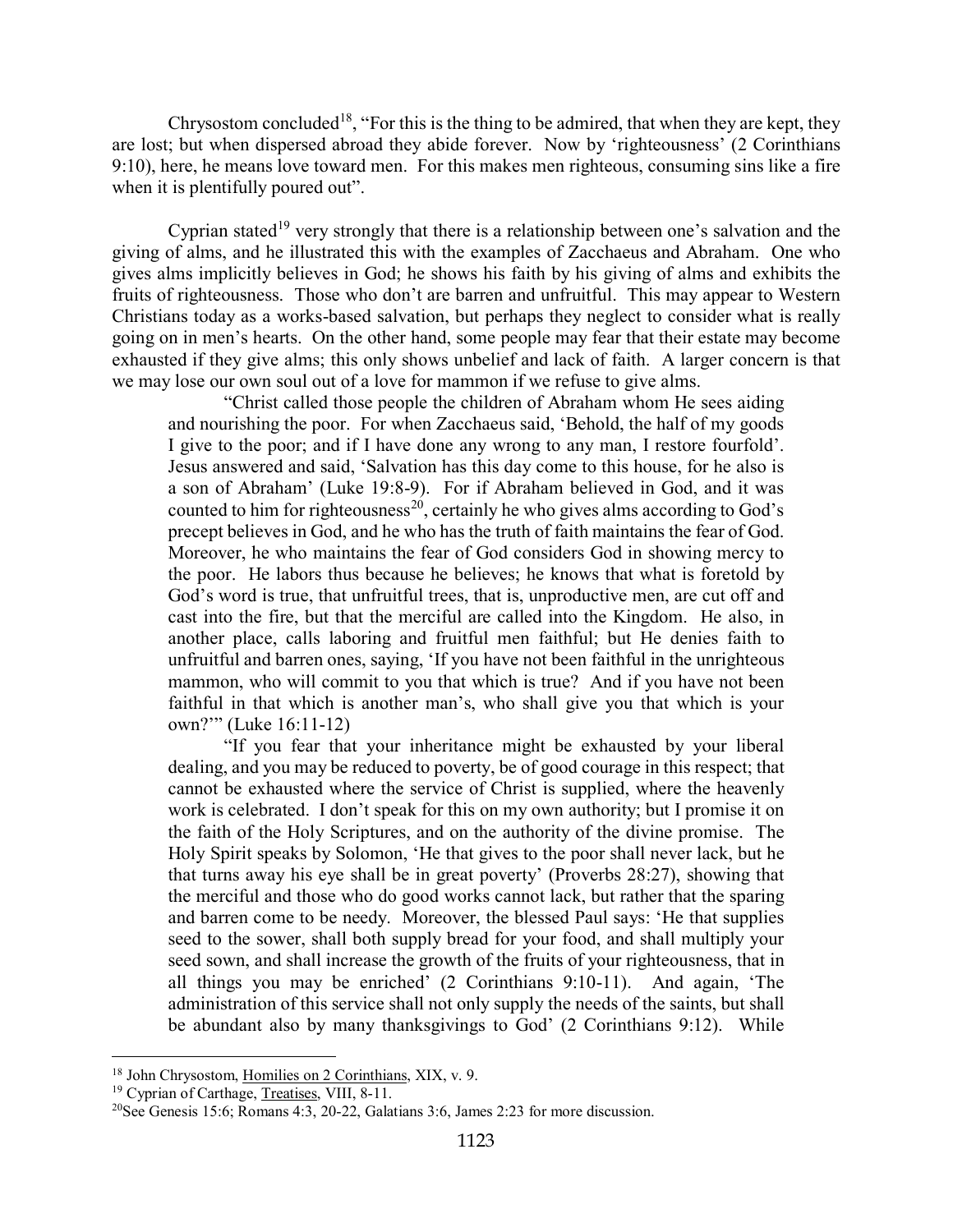Chrysostom concluded<sup>[18](#page-12-0)</sup>, "For this is the thing to be admired, that when they are kept, they are lost; but when dispersed abroad they abide forever. Now by 'righteousness' (2 Corinthians 9:10), here, he means love toward men. For this makes men righteous, consuming sins like a fire when it is plentifully poured out".

Cyprian stated<sup>[19](#page-12-1)</sup> very strongly that there is a relationship between one's salvation and the giving of alms, and he illustrated this with the examples of Zacchaeus and Abraham. One who gives alms implicitly believes in God; he shows his faith by his giving of alms and exhibits the fruits of righteousness. Those who don't are barren and unfruitful. This may appear to Western Christians today as a works-based salvation, but perhaps they neglect to consider what is really going on in men's hearts. On the other hand, some people may fear that their estate may become exhausted if they give alms; this only shows unbelief and lack of faith. A larger concern is that we may lose our own soul out of a love for mammon if we refuse to give alms.

"Christ called those people the children of Abraham whom He sees aiding and nourishing the poor. For when Zacchaeus said, 'Behold, the half of my goods I give to the poor; and if I have done any wrong to any man, I restore fourfold'. Jesus answered and said, 'Salvation has this day come to this house, for he also is a son of Abraham' (Luke 19:8-9). For if Abraham believed in God, and it was counted to him for righteousness<sup>[20](#page-12-2)</sup>, certainly he who gives alms according to God's precept believes in God, and he who has the truth of faith maintains the fear of God. Moreover, he who maintains the fear of God considers God in showing mercy to the poor. He labors thus because he believes; he knows that what is foretold by God's word is true, that unfruitful trees, that is, unproductive men, are cut off and cast into the fire, but that the merciful are called into the Kingdom. He also, in another place, calls laboring and fruitful men faithful; but He denies faith to unfruitful and barren ones, saying, 'If you have not been faithful in the unrighteous mammon, who will commit to you that which is true? And if you have not been faithful in that which is another man's, who shall give you that which is your own?'" (Luke 16:11-12)

"If you fear that your inheritance might be exhausted by your liberal dealing, and you may be reduced to poverty, be of good courage in this respect; that cannot be exhausted where the service of Christ is supplied, where the heavenly work is celebrated. I don't speak for this on my own authority; but I promise it on the faith of the Holy Scriptures, and on the authority of the divine promise. The Holy Spirit speaks by Solomon, 'He that gives to the poor shall never lack, but he that turns away his eye shall be in great poverty' (Proverbs 28:27), showing that the merciful and those who do good works cannot lack, but rather that the sparing and barren come to be needy. Moreover, the blessed Paul says: 'He that supplies seed to the sower, shall both supply bread for your food, and shall multiply your seed sown, and shall increase the growth of the fruits of your righteousness, that in all things you may be enriched' (2 Corinthians 9:10-11). And again, 'The administration of this service shall not only supply the needs of the saints, but shall be abundant also by many thanksgivings to God' (2 Corinthians 9:12). While

<span id="page-12-0"></span><sup>18</sup> John Chrysostom, Homilies on 2 Corinthians, XIX, v. 9.

<span id="page-12-1"></span><sup>&</sup>lt;sup>19</sup> Cyprian of Carthage, Treatises, VIII, 8-11.

<span id="page-12-2"></span><sup>20</sup>See Genesis 15:6; Romans 4:3, 20-22, Galatians 3:6, James 2:23 for more discussion.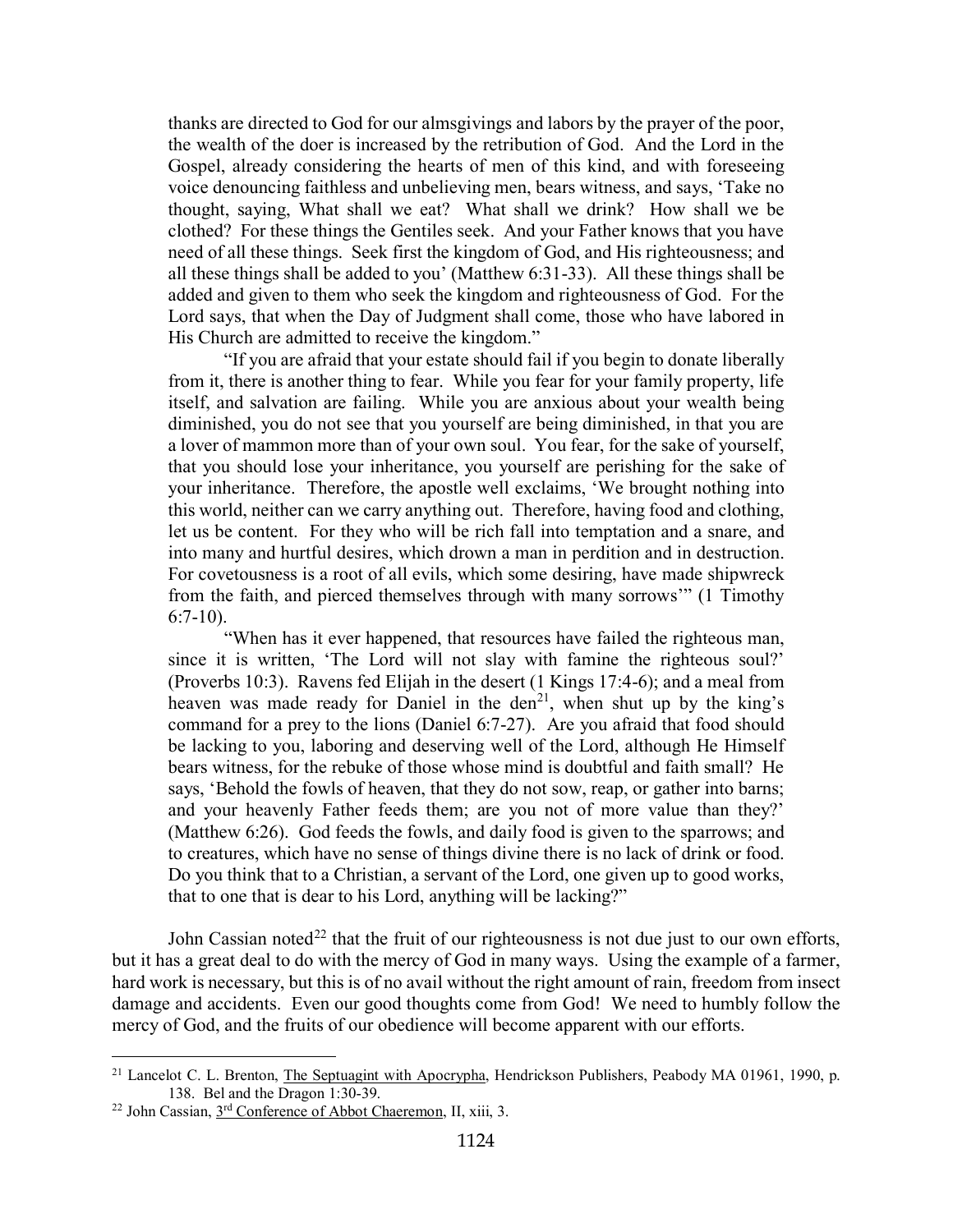thanks are directed to God for our almsgivings and labors by the prayer of the poor, the wealth of the doer is increased by the retribution of God. And the Lord in the Gospel, already considering the hearts of men of this kind, and with foreseeing voice denouncing faithless and unbelieving men, bears witness, and says, 'Take no thought, saying, What shall we eat? What shall we drink? How shall we be clothed? For these things the Gentiles seek. And your Father knows that you have need of all these things. Seek first the kingdom of God, and His righteousness; and all these things shall be added to you' (Matthew 6:31-33). All these things shall be added and given to them who seek the kingdom and righteousness of God. For the Lord says, that when the Day of Judgment shall come, those who have labored in His Church are admitted to receive the kingdom."

"If you are afraid that your estate should fail if you begin to donate liberally from it, there is another thing to fear. While you fear for your family property, life itself, and salvation are failing. While you are anxious about your wealth being diminished, you do not see that you yourself are being diminished, in that you are a lover of mammon more than of your own soul. You fear, for the sake of yourself, that you should lose your inheritance, you yourself are perishing for the sake of your inheritance. Therefore, the apostle well exclaims, 'We brought nothing into this world, neither can we carry anything out. Therefore, having food and clothing, let us be content. For they who will be rich fall into temptation and a snare, and into many and hurtful desires, which drown a man in perdition and in destruction. For covetousness is a root of all evils, which some desiring, have made shipwreck from the faith, and pierced themselves through with many sorrows'" (1 Timothy 6:7-10).

"When has it ever happened, that resources have failed the righteous man, since it is written, 'The Lord will not slay with famine the righteous soul?' (Proverbs 10:3). Ravens fed Elijah in the desert (1 Kings 17:4-6); and a meal from heaven was made ready for Daniel in the den<sup>[21](#page-13-0)</sup>, when shut up by the king's command for a prey to the lions (Daniel 6:7-27). Are you afraid that food should be lacking to you, laboring and deserving well of the Lord, although He Himself bears witness, for the rebuke of those whose mind is doubtful and faith small? He says, 'Behold the fowls of heaven, that they do not sow, reap, or gather into barns; and your heavenly Father feeds them; are you not of more value than they?' (Matthew 6:26). God feeds the fowls, and daily food is given to the sparrows; and to creatures, which have no sense of things divine there is no lack of drink or food. Do you think that to a Christian, a servant of the Lord, one given up to good works, that to one that is dear to his Lord, anything will be lacking?"

John Cassian noted<sup>[22](#page-13-1)</sup> that the fruit of our righteousness is not due just to our own efforts, but it has a great deal to do with the mercy of God in many ways. Using the example of a farmer, hard work is necessary, but this is of no avail without the right amount of rain, freedom from insect damage and accidents. Even our good thoughts come from God! We need to humbly follow the mercy of God, and the fruits of our obedience will become apparent with our efforts.

<span id="page-13-0"></span><sup>&</sup>lt;sup>21</sup> Lancelot C. L. Brenton, The Septuagint with Apocrypha, Hendrickson Publishers, Peabody MA 01961, 1990, p. 138. Bel and the Dragon 1:30-39.

<span id="page-13-1"></span><sup>&</sup>lt;sup>22</sup> John Cassian, 3<sup>rd</sup> Conference of Abbot Chaeremon, II, xiii, 3.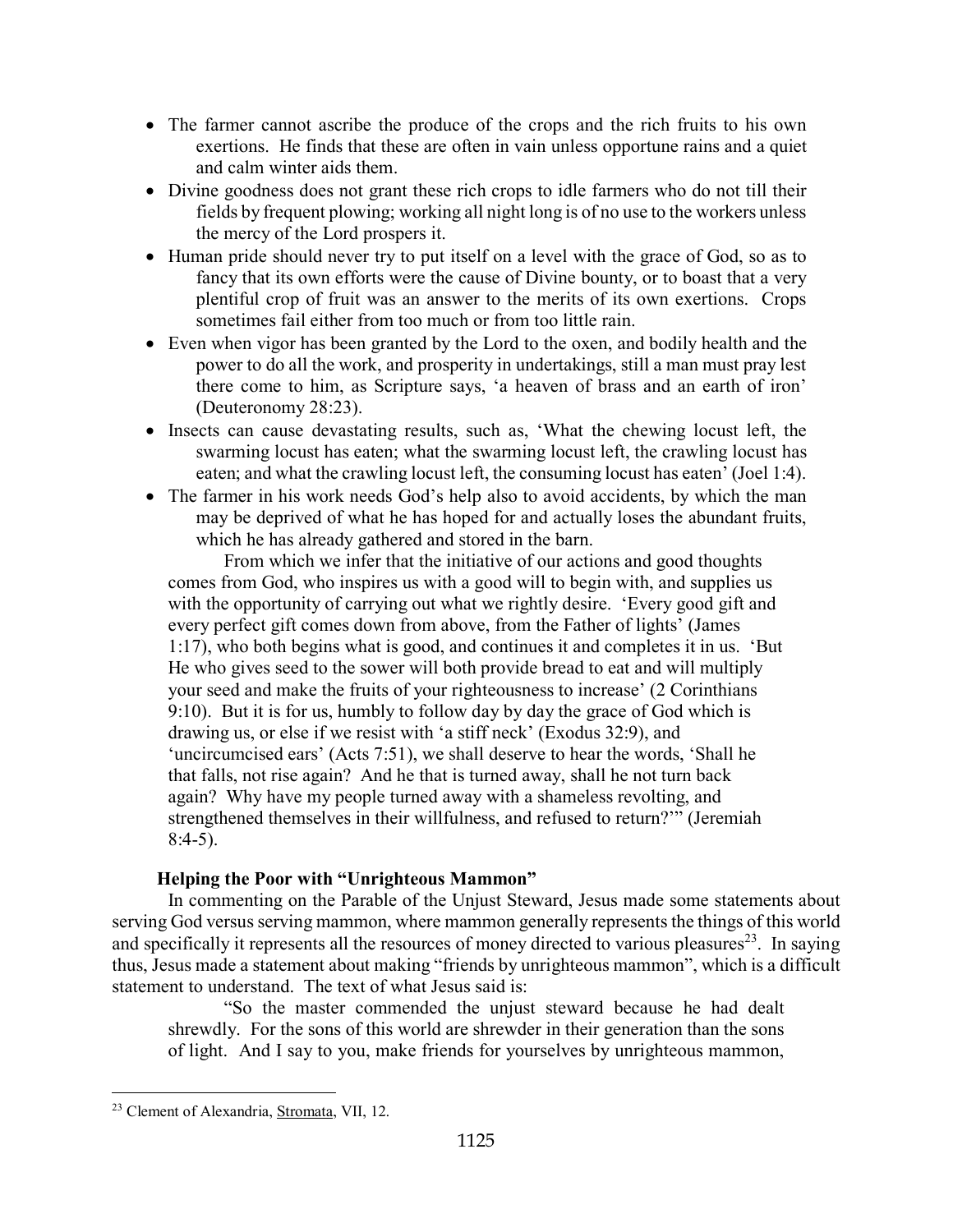- The farmer cannot ascribe the produce of the crops and the rich fruits to his own exertions. He finds that these are often in vain unless opportune rains and a quiet and calm winter aids them.
- Divine goodness does not grant these rich crops to idle farmers who do not till their fields by frequent plowing; working all night long is of no use to the workers unless the mercy of the Lord prospers it.
- Human pride should never try to put itself on a level with the grace of God, so as to fancy that its own efforts were the cause of Divine bounty, or to boast that a very plentiful crop of fruit was an answer to the merits of its own exertions. Crops sometimes fail either from too much or from too little rain.
- Even when vigor has been granted by the Lord to the oxen, and bodily health and the power to do all the work, and prosperity in undertakings, still a man must pray lest there come to him, as Scripture says, 'a heaven of brass and an earth of iron' (Deuteronomy 28:23).
- Insects can cause devastating results, such as, 'What the chewing locust left, the swarming locust has eaten; what the swarming locust left, the crawling locust has eaten; and what the crawling locust left, the consuming locust has eaten' (Joel 1:4).
- The farmer in his work needs God's help also to avoid accidents, by which the man may be deprived of what he has hoped for and actually loses the abundant fruits, which he has already gathered and stored in the barn.

From which we infer that the initiative of our actions and good thoughts comes from God, who inspires us with a good will to begin with, and supplies us with the opportunity of carrying out what we rightly desire. 'Every good gift and every perfect gift comes down from above, from the Father of lights' (James 1:17), who both begins what is good, and continues it and completes it in us. 'But He who gives seed to the sower will both provide bread to eat and will multiply your seed and make the fruits of your righteousness to increase' (2 Corinthians 9:10). But it is for us, humbly to follow day by day the grace of God which is drawing us, or else if we resist with 'a stiff neck' (Exodus 32:9), and 'uncircumcised ears' (Acts 7:51), we shall deserve to hear the words, 'Shall he that falls, not rise again? And he that is turned away, shall he not turn back again? Why have my people turned away with a shameless revolting, and strengthened themselves in their willfulness, and refused to return?'" (Jeremiah 8:4-5).

## **Helping the Poor with "Unrighteous Mammon"**

<span id="page-14-0"></span>In commenting on the Parable of the Unjust Steward, Jesus made some statements about serving God versus serving mammon, where mammon generally represents the things of this world and specifically it represents all the resources of money directed to various pleasures<sup>23</sup>. In saying thus, Jesus made a statement about making "friends by unrighteous mammon", which is a difficult statement to understand. The text of what Jesus said is:

"So the master commended the unjust steward because he had dealt shrewdly. For the sons of this world are shrewder in their generation than the sons of light. And I say to you, make friends for yourselves by unrighteous mammon,

<span id="page-14-1"></span><sup>23</sup> Clement of Alexandria, Stromata, VII, 12.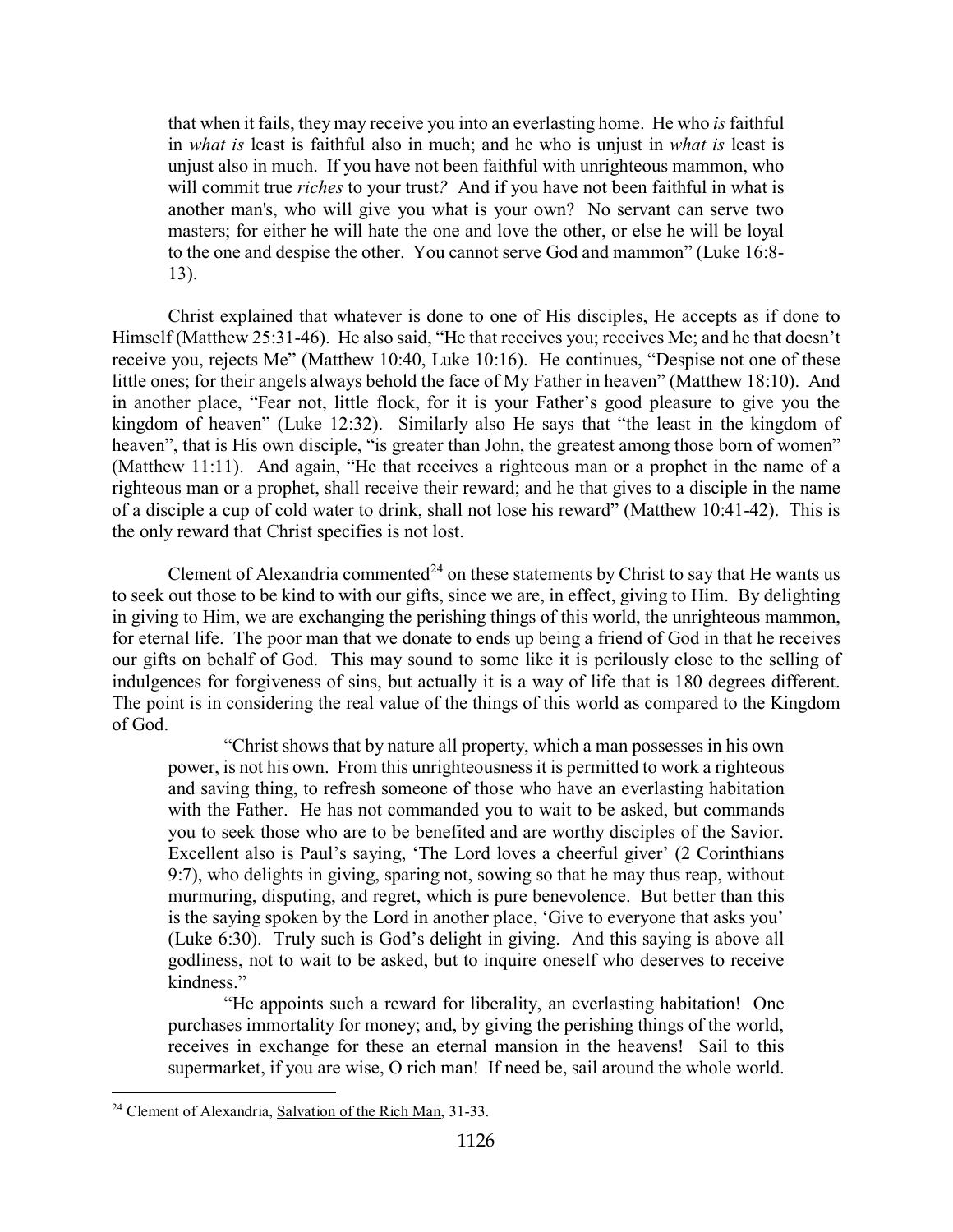that when it fails, they may receive you into an everlasting home. He who *is* faithful in *what is* least is faithful also in much; and he who is unjust in *what is* least is unjust also in much. If you have not been faithful with unrighteous mammon, who will commit true *riches* to your trust*?* And if you have not been faithful in what is another man's, who will give you what is your own? No servant can serve two masters; for either he will hate the one and love the other, or else he will be loyal to the one and despise the other. You cannot serve God and mammon" (Luke 16:8- 13).

Christ explained that whatever is done to one of His disciples, He accepts as if done to Himself (Matthew 25:31-46). He also said, "He that receives you; receives Me; and he that doesn't receive you, rejects Me" (Matthew 10:40, Luke 10:16). He continues, "Despise not one of these little ones; for their angels always behold the face of My Father in heaven" (Matthew 18:10). And in another place, "Fear not, little flock, for it is your Father's good pleasure to give you the kingdom of heaven" (Luke 12:32). Similarly also He says that "the least in the kingdom of heaven", that is His own disciple, "is greater than John, the greatest among those born of women" (Matthew 11:11). And again, "He that receives a righteous man or a prophet in the name of a righteous man or a prophet, shall receive their reward; and he that gives to a disciple in the name of a disciple a cup of cold water to drink, shall not lose his reward" (Matthew 10:41-42). This is the only reward that Christ specifies is not lost.

Clement of Alexandria commented<sup>[24](#page-15-0)</sup> on these statements by Christ to say that He wants us to seek out those to be kind to with our gifts, since we are, in effect, giving to Him. By delighting in giving to Him, we are exchanging the perishing things of this world, the unrighteous mammon, for eternal life. The poor man that we donate to ends up being a friend of God in that he receives our gifts on behalf of God. This may sound to some like it is perilously close to the selling of indulgences for forgiveness of sins, but actually it is a way of life that is 180 degrees different. The point is in considering the real value of the things of this world as compared to the Kingdom of God.

"Christ shows that by nature all property, which a man possesses in his own power, is not his own. From this unrighteousness it is permitted to work a righteous and saving thing, to refresh someone of those who have an everlasting habitation with the Father. He has not commanded you to wait to be asked, but commands you to seek those who are to be benefited and are worthy disciples of the Savior. Excellent also is Paul's saying, 'The Lord loves a cheerful giver' (2 Corinthians 9:7), who delights in giving, sparing not, sowing so that he may thus reap, without murmuring, disputing, and regret, which is pure benevolence. But better than this is the saying spoken by the Lord in another place, 'Give to everyone that asks you' (Luke 6:30). Truly such is God's delight in giving. And this saying is above all godliness, not to wait to be asked, but to inquire oneself who deserves to receive kindness."

"He appoints such a reward for liberality, an everlasting habitation! One purchases immortality for money; and, by giving the perishing things of the world, receives in exchange for these an eternal mansion in the heavens! Sail to this supermarket, if you are wise, O rich man! If need be, sail around the whole world.

<span id="page-15-0"></span><sup>&</sup>lt;sup>24</sup> Clement of Alexandria, Salvation of the Rich Man, 31-33.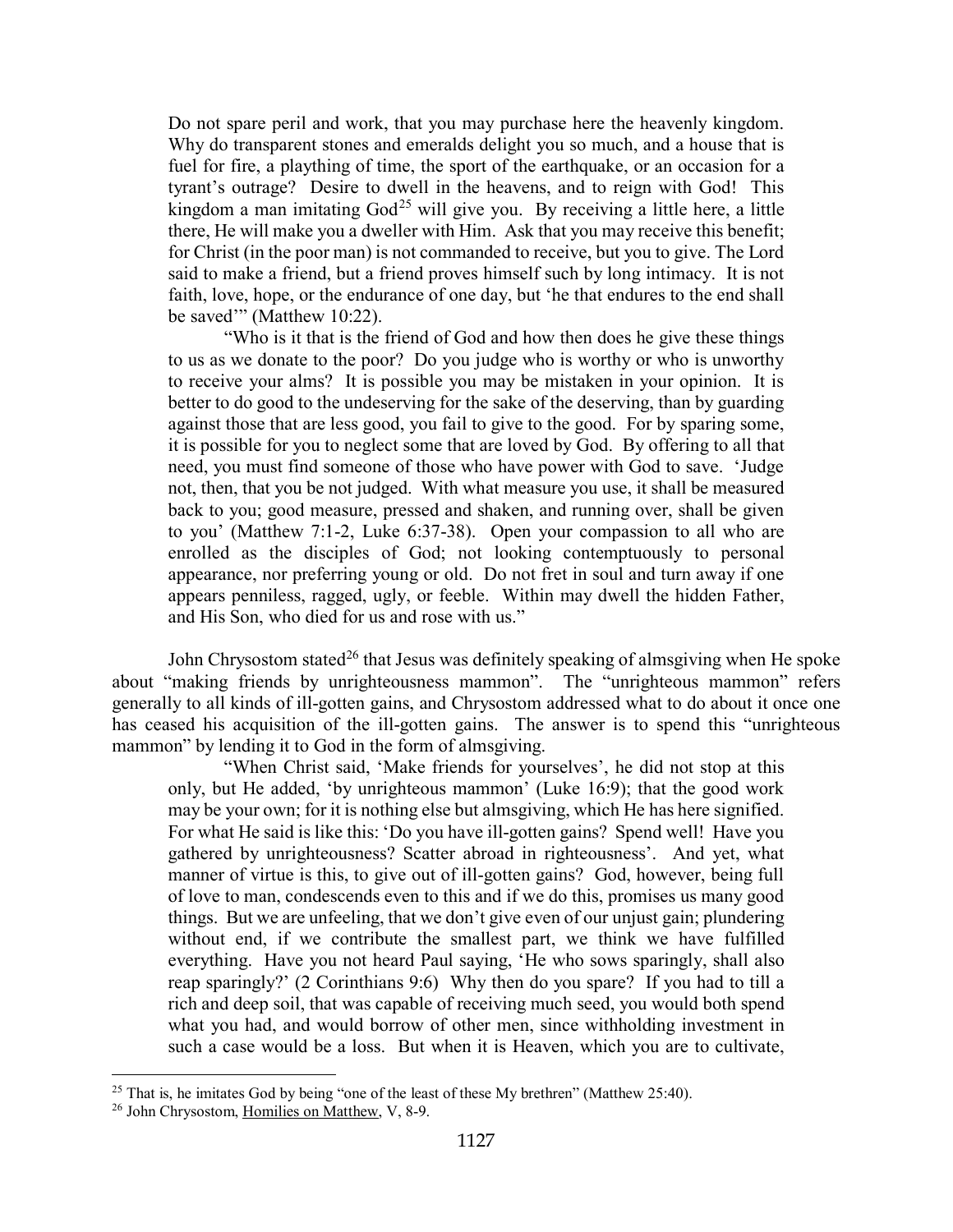Do not spare peril and work, that you may purchase here the heavenly kingdom. Why do transparent stones and emeralds delight you so much, and a house that is fuel for fire, a plaything of time, the sport of the earthquake, or an occasion for a tyrant's outrage? Desire to dwell in the heavens, and to reign with God! This kingdom a man imitating  $God^{25}$  $God^{25}$  $God^{25}$  will give you. By receiving a little here, a little there, He will make you a dweller with Him. Ask that you may receive this benefit; for Christ (in the poor man) is not commanded to receive, but you to give. The Lord said to make a friend, but a friend proves himself such by long intimacy. It is not faith, love, hope, or the endurance of one day, but 'he that endures to the end shall be saved'" (Matthew 10:22).

"Who is it that is the friend of God and how then does he give these things to us as we donate to the poor? Do you judge who is worthy or who is unworthy to receive your alms? It is possible you may be mistaken in your opinion. It is better to do good to the undeserving for the sake of the deserving, than by guarding against those that are less good, you fail to give to the good. For by sparing some, it is possible for you to neglect some that are loved by God. By offering to all that need, you must find someone of those who have power with God to save. 'Judge not, then, that you be not judged. With what measure you use, it shall be measured back to you; good measure, pressed and shaken, and running over, shall be given to you' (Matthew 7:1-2, Luke 6:37-38). Open your compassion to all who are enrolled as the disciples of God; not looking contemptuously to personal appearance, nor preferring young or old. Do not fret in soul and turn away if one appears penniless, ragged, ugly, or feeble. Within may dwell the hidden Father, and His Son, who died for us and rose with us."

John Chrysostom stated<sup>[26](#page-16-1)</sup> that Jesus was definitely speaking of almsgiving when He spoke about "making friends by unrighteousness mammon". The "unrighteous mammon" refers generally to all kinds of ill-gotten gains, and Chrysostom addressed what to do about it once one has ceased his acquisition of the ill-gotten gains. The answer is to spend this "unrighteous mammon" by lending it to God in the form of almsgiving.

"When Christ said, 'Make friends for yourselves', he did not stop at this only, but He added, 'by unrighteous mammon' (Luke 16:9); that the good work may be your own; for it is nothing else but almsgiving, which He has here signified. For what He said is like this: 'Do you have ill-gotten gains? Spend well! Have you gathered by unrighteousness? Scatter abroad in righteousness'. And yet, what manner of virtue is this, to give out of ill-gotten gains? God, however, being full of love to man, condescends even to this and if we do this, promises us many good things. But we are unfeeling, that we don't give even of our unjust gain; plundering without end, if we contribute the smallest part, we think we have fulfilled everything. Have you not heard Paul saying, 'He who sows sparingly, shall also reap sparingly?' (2 Corinthians 9:6) Why then do you spare? If you had to till a rich and deep soil, that was capable of receiving much seed, you would both spend what you had, and would borrow of other men, since withholding investment in such a case would be a loss. But when it is Heaven, which you are to cultivate,

<span id="page-16-0"></span><sup>&</sup>lt;sup>25</sup> That is, he imitates God by being "one of the least of these My brethren" (Matthew 25:40).

<span id="page-16-1"></span><sup>26</sup> John Chrysostom, Homilies on Matthew, V, 8-9.